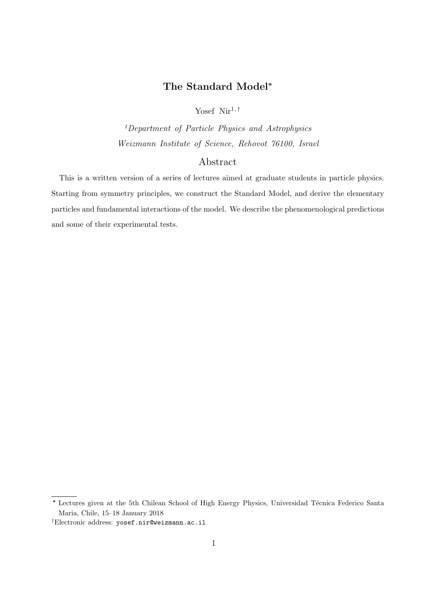# The Standard Model<sup>∗</sup>

Yosef  $Nir^{1, †}$ 

<sup>1</sup>Department of Particle Physics and Astrophysics Weizmann Institute of Science, Rehovot 76100, Israel

# Abstract

This is a written version of a series of lectures aimed at graduate students in particle physics. Starting from symmetry principles, we construct the Standard Model, and derive the elementary particles and fundamental interactions of the model. We describe the phenomenological predictions and some of their experimental tests.

<sup>\*</sup> Lectures given at the 5th Chilean School of High Energy Physics, Universidad Técnica Federico Santa Maria, Chile, 15–18 January 2018

<sup>†</sup>Electronic address: yosef.nir@weizmann.ac.il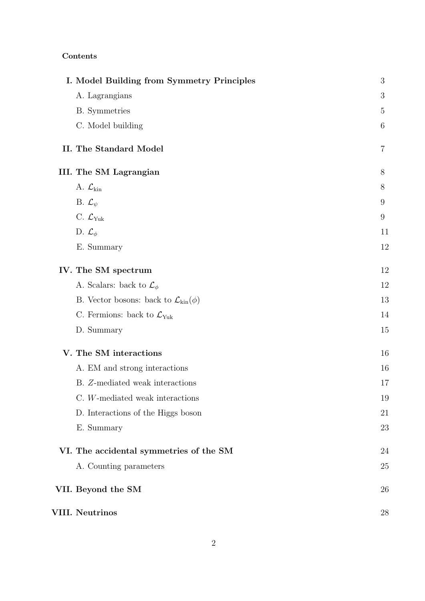# Contents

| I. Model Building from Symmetry Principles          | $\mathfrak{Z}$ |
|-----------------------------------------------------|----------------|
| A. Lagrangians                                      | 3              |
| <b>B.</b> Symmetries                                | $\overline{5}$ |
| C. Model building                                   | 6              |
| II. The Standard Model                              | $\overline{7}$ |
| <b>III.</b> The SM Lagrangian                       | 8              |
| A. $\mathcal{L}_{\text{kin}}$                       | 8              |
| B. $\mathcal{L}_{\psi}$                             | 9              |
| C. $\mathcal{L}_{\text{Yuk}}$                       | $9\phantom{.}$ |
| D. $\mathcal{L}_{\phi}$                             | 11             |
| E. Summary                                          | 12             |
| IV. The SM spectrum                                 | 12             |
| A. Scalars: back to $\mathcal{L}_{\phi}$            | 12             |
| B. Vector bosons: back to $\mathcal{L}_{kin}(\phi)$ | 13             |
| C. Fermions: back to $\mathcal{L}_{\text{Yuk}}$     | 14             |
| D. Summary                                          | 15             |
| V. The SM interactions                              | 16             |
| A. EM and strong interactions                       | 16             |
| B. Z-mediated weak interactions                     | 17             |
| C. W-mediated weak interactions                     | 19             |
| D. Interactions of the Higgs boson                  | 21             |
| E. Summary                                          | 23             |
| VI. The accidental symmetries of the SM             | 24             |
| A. Counting parameters                              | 25             |
| VII. Beyond the SM                                  | 26             |
| <b>VIII. Neutrinos</b>                              | 28             |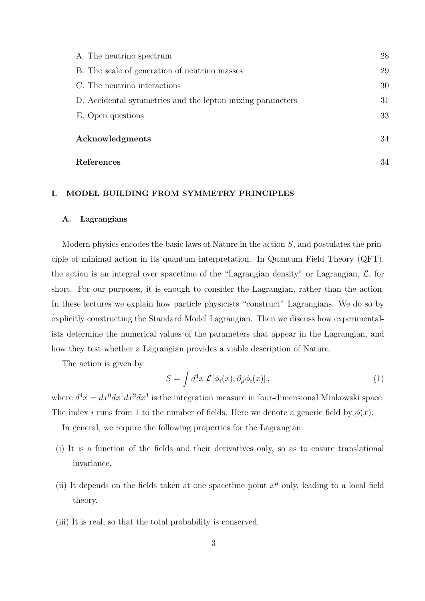| A. The neutrino spectrum                                  | 28 |
|-----------------------------------------------------------|----|
| B. The scale of generation of neutrino masses             | 29 |
| C. The neutrino interactions                              | 30 |
| D. Accidental symmetries and the lepton mixing parameters | 31 |
| E. Open questions                                         | 33 |
| Acknowledgments                                           | 34 |
| References                                                | 34 |

# I. MODEL BUILDING FROM SYMMETRY PRINCIPLES

### A. Lagrangians

Modern physics encodes the basic laws of Nature in the action S, and postulates the principle of minimal action in its quantum interpretation. In Quantum Field Theory (QFT), the action is an integral over spacetime of the "Lagrangian density" or Lagrangian,  $\mathcal{L}$ , for short. For our purposes, it is enough to consider the Lagrangian, rather than the action. In these lectures we explain how particle physicists "construct" Lagrangians. We do so by explicitly constructing the Standard Model Lagrangian. Then we discuss how experimentalists determine the numerical values of the parameters that appear in the Lagrangian, and how they test whether a Lagrangian provides a viable description of Nature.

The action is given by

$$
S = \int d^4x \mathcal{L}[\phi_i(x), \partial_\mu \phi_i(x)], \qquad (1)
$$

where  $d^4x = dx^0 dx^1 dx^2 dx^3$  is the integration measure in four-dimensional Minkowski space. The index i runs from 1 to the number of fields. Here we denote a generic field by  $\phi(x)$ .

In general, we require the following properties for the Lagrangian:

- (i) It is a function of the fields and their derivatives only, so as to ensure translational invariance.
- (ii) It depends on the fields taken at one spacetime point  $x^{\mu}$  only, leading to a local field theory.
- (iii) It is real, so that the total probability is conserved.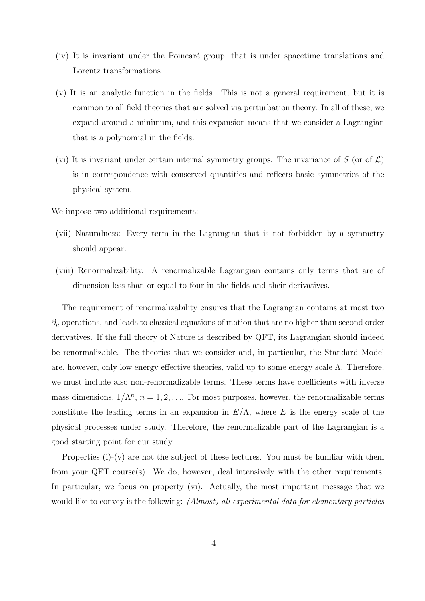- (iv) It is invariant under the Poincar´e group, that is under spacetime translations and Lorentz transformations.
- (v) It is an analytic function in the fields. This is not a general requirement, but it is common to all field theories that are solved via perturbation theory. In all of these, we expand around a minimum, and this expansion means that we consider a Lagrangian that is a polynomial in the fields.
- (vi) It is invariant under certain internal symmetry groups. The invariance of S (or of  $\mathcal{L}$ ) is in correspondence with conserved quantities and reflects basic symmetries of the physical system.

We impose two additional requirements:

- (vii) Naturalness: Every term in the Lagrangian that is not forbidden by a symmetry should appear.
- (viii) Renormalizability. A renormalizable Lagrangian contains only terms that are of dimension less than or equal to four in the fields and their derivatives.

The requirement of renormalizability ensures that the Lagrangian contains at most two  $\partial_{\mu}$  operations, and leads to classical equations of motion that are no higher than second order derivatives. If the full theory of Nature is described by QFT, its Lagrangian should indeed be renormalizable. The theories that we consider and, in particular, the Standard Model are, however, only low energy effective theories, valid up to some energy scale  $\Lambda$ . Therefore, we must include also non-renormalizable terms. These terms have coefficients with inverse mass dimensions,  $1/\Lambda^n$ ,  $n = 1, 2, \ldots$  For most purposes, however, the renormalizable terms constitute the leading terms in an expansion in  $E/\Lambda$ , where E is the energy scale of the physical processes under study. Therefore, the renormalizable part of the Lagrangian is a good starting point for our study.

Properties  $(i)-(v)$  are not the subject of these lectures. You must be familiar with them from your QFT course(s). We do, however, deal intensively with the other requirements. In particular, we focus on property (vi). Actually, the most important message that we would like to convey is the following: *(Almost) all experimental data for elementary particles*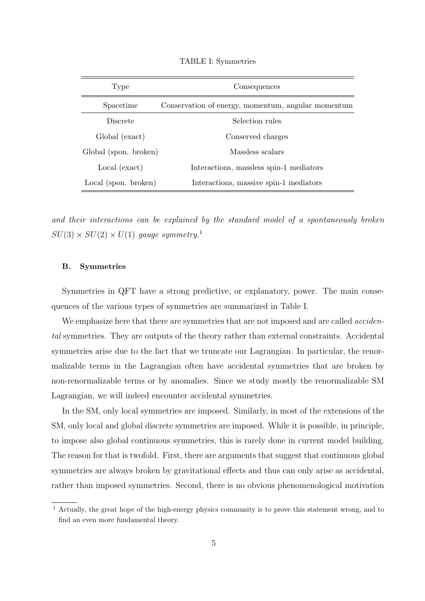| Type                  | Consequences                                       |  |
|-----------------------|----------------------------------------------------|--|
| Spacetime             | Conservation of energy, momentum, angular momentum |  |
| Discrete              | Selection rules                                    |  |
| Global (exact)        | Conserved charges                                  |  |
| Global (spon. broken) | Massless scalars                                   |  |
| Local (exact)         | Interactions, massless spin-1 mediators            |  |
| Local (spon. broken)  | Interactions, massive spin-1 mediators             |  |

TABLE I: Symmetries

and their interactions can be explained by the standard model of a spontaneously broken  $SU(3) \times SU(2) \times U(1)$  gauge symmetry.<sup>1</sup>

### B. Symmetries

Symmetries in QFT have a strong predictive, or explanatory, power. The main consequences of the various types of symmetries are summarized in Table I.

We emphasize here that there are symmetries that are not imposed and are called *acciden*tal symmetries. They are outputs of the theory rather than external constraints. Accidental symmetries arise due to the fact that we truncate our Lagrangian. In particular, the renormalizable terms in the Lagrangian often have accidental symmetries that are broken by non-renormalizable terms or by anomalies. Since we study mostly the renormalizable SM Lagrangian, we will indeed encounter accidental symmetries.

In the SM, only local symmetries are imposed. Similarly, in most of the extensions of the SM, only local and global discrete symmetries are imposed. While it is possible, in principle, to impose also global continuous symmetries, this is rarely done in current model building. The reason for that is twofold. First, there are arguments that suggest that continuous global symmetries are always broken by gravitational effects and thus can only arise as accidental, rather than imposed symmetries. Second, there is no obvious phenomenological motivation

<sup>1</sup> Actually, the great hope of the high-energy physics community is to prove this statement wrong, and to find an even more fundamental theory.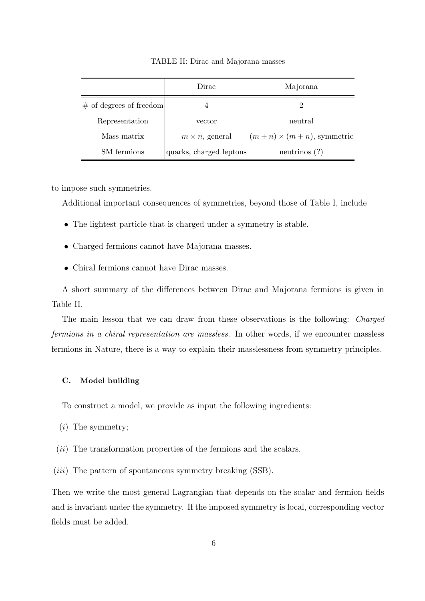|                           | Dirac                   | Majorana                         |
|---------------------------|-------------------------|----------------------------------|
| $#$ of degrees of freedom | 4                       | 2                                |
| Representation            | vector                  | neutral                          |
| Mass matrix               | $m \times n$ , general  | $(m+n) \times (m+n)$ , symmetric |
| SM fermions               | quarks, charged leptons | neutrinos $(?)$                  |

TABLE II: Dirac and Majorana masses

to impose such symmetries.

Additional important consequences of symmetries, beyond those of Table I, include

- The lightest particle that is charged under a symmetry is stable.
- Charged fermions cannot have Majorana masses.
- Chiral fermions cannot have Dirac masses.

A short summary of the differences between Dirac and Majorana fermions is given in Table II.

The main lesson that we can draw from these observations is the following: Charged fermions in a chiral representation are massless. In other words, if we encounter massless fermions in Nature, there is a way to explain their masslessness from symmetry principles.

## C. Model building

To construct a model, we provide as input the following ingredients:

- $(i)$  The symmetry;
- $(ii)$  The transformation properties of the fermions and the scalars.
- (*iii*) The pattern of spontaneous symmetry breaking (SSB).

Then we write the most general Lagrangian that depends on the scalar and fermion fields and is invariant under the symmetry. If the imposed symmetry is local, corresponding vector fields must be added.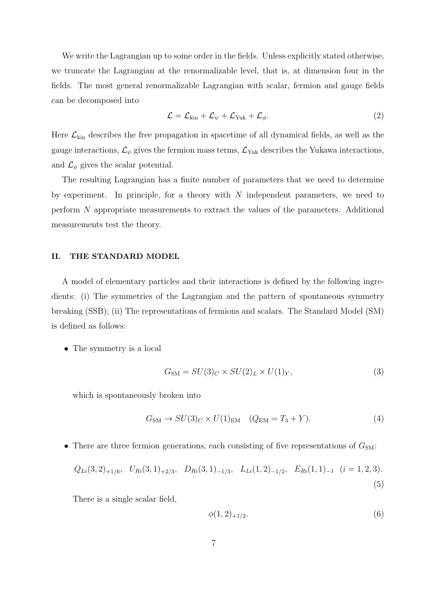We write the Lagrangian up to some order in the fields. Unless explicitly stated otherwise, we truncate the Lagrangian at the renormalizable level, that is, at dimension four in the fields. The most general renormalizable Lagrangian with scalar, fermion and gauge fields can be decomposed into

$$
\mathcal{L} = \mathcal{L}_{\text{kin}} + \mathcal{L}_{\psi} + \mathcal{L}_{\text{Yuk}} + \mathcal{L}_{\phi}.
$$
 (2)

Here  $\mathcal{L}_{kin}$  describes the free propagation in spacetime of all dynamical fields, as well as the gauge interactions,  $\mathcal{L}_{\psi}$  gives the fermion mass terms,  $\mathcal{L}_{\text{Yuk}}$  describes the Yukawa interactions, and  $\mathcal{L}_{\phi}$  gives the scalar potential.

The resulting Lagrangian has a finite number of parameters that we need to determine by experiment. In principle, for a theory with  $N$  independent parameters, we need to perform N appropriate measurements to extract the values of the parameters. Additional measurements test the theory.

### II. THE STANDARD MODEL

A model of elementary particles and their interactions is defined by the following ingredients: (i) The symmetries of the Lagrangian and the pattern of spontaneous symmetry breaking (SSB); (ii) The representations of fermions and scalars. The Standard Model (SM) is defined as follows:

• The symmetry is a local

$$
G_{\rm SM} = SU(3)_C \times SU(2)_L \times U(1)_Y,\tag{3}
$$

which is spontaneously broken into

$$
G_{\rm SM} \to SU(3)_C \times U(1)_{\rm EM} \quad (Q_{\rm EM} = T_3 + Y). \tag{4}
$$

• There are three fermion generations, each consisting of five representations of  $G_{SM}$ :

$$
Q_{Li}(3,2)_{+1/6}
$$
,  $U_{Ri}(3,1)_{+2/3}$ ,  $D_{Ri}(3,1)_{-1/3}$ ,  $L_{Li}(1,2)_{-1/2}$ ,  $E_{Ri}(1,1)_{-1}$   $(i = 1,2,3)$ .  
(5)

There is a single scalar field,

$$
\phi(1,2)_{+1/2}.\tag{6}
$$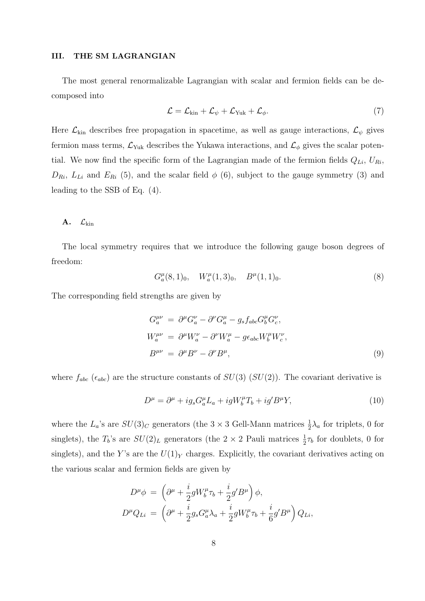#### III. THE SM LAGRANGIAN

The most general renormalizable Lagrangian with scalar and fermion fields can be decomposed into

$$
\mathcal{L} = \mathcal{L}_{\text{kin}} + \mathcal{L}_{\psi} + \mathcal{L}_{\text{Yuk}} + \mathcal{L}_{\phi}.
$$
 (7)

Here  $\mathcal{L}_{kin}$  describes free propagation in spacetime, as well as gauge interactions,  $\mathcal{L}_{\psi}$  gives fermion mass terms,  $\mathcal{L}_{\text{Yuk}}$  describes the Yukawa interactions, and  $\mathcal{L}_{\phi}$  gives the scalar potential. We now find the specific form of the Lagrangian made of the fermion fields  $Q_{Li}$ ,  $U_{Ri}$ ,  $D_{Ri}$ ,  $L_{Li}$  and  $E_{Ri}$  (5), and the scalar field  $\phi$  (6), subject to the gauge symmetry (3) and leading to the SSB of Eq. (4).

# A.  $\mathcal{L}_{\text{kin}}$

The local symmetry requires that we introduce the following gauge boson degrees of freedom:

$$
G_a^{\mu}(8,1)_0, \quad W_a^{\mu}(1,3)_0, \quad B^{\mu}(1,1)_0. \tag{8}
$$

The corresponding field strengths are given by

$$
G_a^{\mu\nu} = \partial^{\mu} G_a^{\nu} - \partial^{\nu} G_a^{\mu} - g_s f_{abc} G_b^{\mu} G_c^{\nu},
$$
  
\n
$$
W_a^{\mu\nu} = \partial^{\mu} W_a^{\nu} - \partial^{\nu} W_a^{\mu} - g \epsilon_{abc} W_b^{\mu} W_c^{\nu},
$$
  
\n
$$
B^{\mu\nu} = \partial^{\mu} B^{\nu} - \partial^{\nu} B^{\mu},
$$
\n(9)

where  $f_{abc}$  ( $\epsilon_{abc}$ ) are the structure constants of  $SU(3)$  ( $SU(2)$ ). The covariant derivative is

$$
D^{\mu} = \partial^{\mu} + ig_s G^{\mu}_a L_a + igW^{\mu}_b T_b + ig'B^{\mu} Y,\tag{10}
$$

where the  $L_a$ 's are  $SU(3)_C$  generators (the 3 × 3 Gell-Mann matrices  $\frac{1}{2}\lambda_a$  for triplets, 0 for singlets), the  $T_b$ 's are  $SU(2)_L$  generators (the  $2 \times 2$  Pauli matrices  $\frac{1}{2}\tau_b$  for doublets, 0 for singlets), and the Y's are the  $U(1)_Y$  charges. Explicitly, the covariant derivatives acting on the various scalar and fermion fields are given by

$$
D^{\mu}\phi = \left(\partial^{\mu} + \frac{i}{2}gW_b^{\mu}\tau_b + \frac{i}{2}g'B^{\mu}\right)\phi,
$$
  

$$
D^{\mu}Q_{Li} = \left(\partial^{\mu} + \frac{i}{2}g_sG_a^{\mu}\lambda_a + \frac{i}{2}gW_b^{\mu}\tau_b + \frac{i}{6}g'B^{\mu}\right)Q_{Li},
$$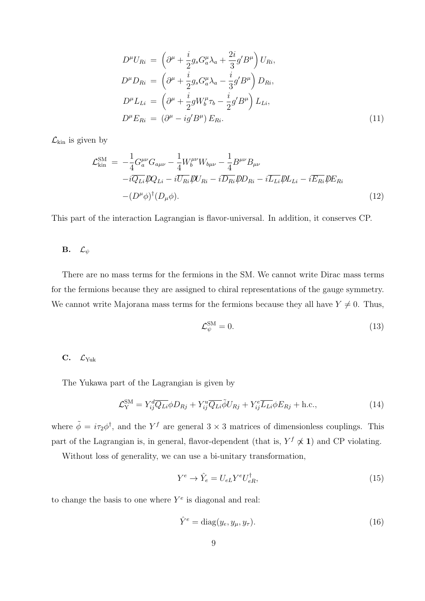$$
D^{\mu}U_{Ri} = \left(\partial^{\mu} + \frac{i}{2}g_s G^{\mu}_a \lambda_a + \frac{2i}{3}g'B^{\mu}\right)U_{Ri},
$$
  
\n
$$
D^{\mu}D_{Ri} = \left(\partial^{\mu} + \frac{i}{2}g_s G^{\mu}_a \lambda_a - \frac{i}{3}g'B^{\mu}\right)D_{Ri},
$$
  
\n
$$
D^{\mu}L_{Li} = \left(\partial^{\mu} + \frac{i}{2}gW^{\mu}_b \tau_b - \frac{i}{2}g'B^{\mu}\right)L_{Li},
$$
  
\n
$$
D^{\mu}E_{Ri} = \left(\partial^{\mu} - ig'B^{\mu}\right)E_{Ri}.
$$
\n(11)

 $\mathcal{L}_{\mathrm{kin}}$  is given by

$$
\mathcal{L}_{\text{kin}}^{\text{SM}} = -\frac{1}{4} G_{a}^{\mu\nu} G_{a\mu\nu} - \frac{1}{4} W_{b}^{\mu\nu} W_{b\mu\nu} - \frac{1}{4} B^{\mu\nu} B_{\mu\nu} \n- i \overline{Q_{Li}} \overline{\psi} Q_{Li} - i \overline{U_{Ri}} \overline{\psi} U_{Ri} - i \overline{D_{Ri}} \overline{\psi} D_{Ri} - i \overline{L_{Li}} \overline{\psi} L_{Li} - i \overline{E_{Ri}} \overline{\psi} E_{Ri} \n- (D^{\mu} \phi)^{\dagger} (D_{\mu} \phi).
$$
\n(12)

This part of the interaction Lagrangian is flavor-universal. In addition, it conserves CP.

# **B.**  $\mathcal{L}_{\psi}$

There are no mass terms for the fermions in the SM. We cannot write Dirac mass terms for the fermions because they are assigned to chiral representations of the gauge symmetry. We cannot write Majorana mass terms for the fermions because they all have  $Y \neq 0$ . Thus,

$$
\mathcal{L}_{\psi}^{\text{SM}} = 0. \tag{13}
$$

### C.  $\mathcal{L}_{\text{Yuk}}$

The Yukawa part of the Lagrangian is given by

$$
\mathcal{L}_{\mathcal{Y}}^{\mathcal{SM}} = Y_{ij}^d \overline{Q_{Li}} \phi D_{Rj} + Y_{ij}^u \overline{Q_{Li}} \tilde{\phi} U_{Rj} + Y_{ij}^e \overline{L_{Li}} \phi E_{Rj} + \text{h.c.},\tag{14}
$$

where  $\tilde{\phi} = i\tau_2 \phi^{\dagger}$ , and the Y<sup>f</sup> are general 3 × 3 matrices of dimensionless couplings. This part of the Lagrangian is, in general, flavor-dependent (that is,  $Y^f \nless 1$ ) and CP violating.

Without loss of generality, we can use a bi-unitary transformation,

$$
Y^e \to \hat{Y}_e = U_{eL} Y^e U_{eR}^\dagger,\tag{15}
$$

to change the basis to one where  $Y^e$  is diagonal and real:

$$
\hat{Y}^e = \text{diag}(y_e, y_\mu, y_\tau). \tag{16}
$$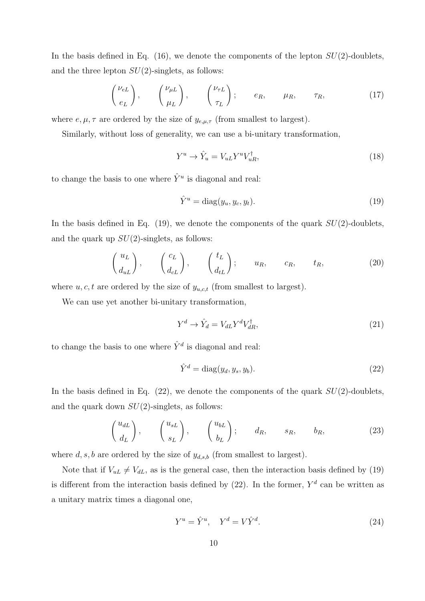In the basis defined in Eq. (16), we denote the components of the lepton  $SU(2)$ -doublets, and the three lepton  $SU(2)$ -singlets, as follows:

$$
\begin{pmatrix} \nu_{eL} \\ e_L \end{pmatrix}, \qquad \begin{pmatrix} \nu_{\mu L} \\ \mu_L \end{pmatrix}, \qquad \begin{pmatrix} \nu_{\tau L} \\ \tau_L \end{pmatrix}; \qquad e_R, \qquad \mu_R, \qquad \tau_R, \tag{17}
$$

where  $e, \mu, \tau$  are ordered by the size of  $y_{e,\mu,\tau}$  (from smallest to largest).

Similarly, without loss of generality, we can use a bi-unitary transformation,

$$
Y^u \to \hat{Y}_u = V_{uL} Y^u V_{uR}^\dagger,\tag{18}
$$

to change the basis to one where  $\hat{Y}^u$  is diagonal and real:

$$
\hat{Y}^u = \text{diag}(y_u, y_c, y_t). \tag{19}
$$

In the basis defined in Eq.  $(19)$ , we denote the components of the quark  $SU(2)$ -doublets, and the quark up  $SU(2)$ -singlets, as follows:

$$
\begin{pmatrix} u_L \\ d_{uL} \end{pmatrix}, \qquad \begin{pmatrix} c_L \\ d_{cL} \end{pmatrix}, \qquad \begin{pmatrix} t_L \\ d_{tL} \end{pmatrix}; \qquad u_R, \qquad c_R, \qquad t_R, \tag{20}
$$

where  $u, c, t$  are ordered by the size of  $y_{u,c,t}$  (from smallest to largest).

We can use yet another bi-unitary transformation,

$$
Y^d \to \hat{Y}_d = V_{dL} Y^d V_{dR}^\dagger,\tag{21}
$$

to change the basis to one where  $\hat{Y}^d$  is diagonal and real:

$$
\hat{Y}^d = \text{diag}(y_d, y_s, y_b). \tag{22}
$$

In the basis defined in Eq.  $(22)$ , we denote the components of the quark  $SU(2)$ -doublets, and the quark down  $SU(2)$ -singlets, as follows:

$$
\begin{pmatrix} u_{dL} \\ d_L \end{pmatrix}, \qquad \begin{pmatrix} u_{sL} \\ s_L \end{pmatrix}, \qquad \begin{pmatrix} u_{bL} \\ b_L \end{pmatrix}; \qquad d_R, \qquad s_R, \qquad b_R, \tag{23}
$$

where  $d, s, b$  are ordered by the size of  $y_{d,s,b}$  (from smallest to largest).

Note that if  $V_{u} \neq V_{d}$ , as is the general case, then the interaction basis defined by (19) is different from the interaction basis defined by  $(22)$ . In the former,  $Y<sup>d</sup>$  can be written as a unitary matrix times a diagonal one,

$$
Y^u = \hat{Y}^u, \quad Y^d = V\hat{Y}^d. \tag{24}
$$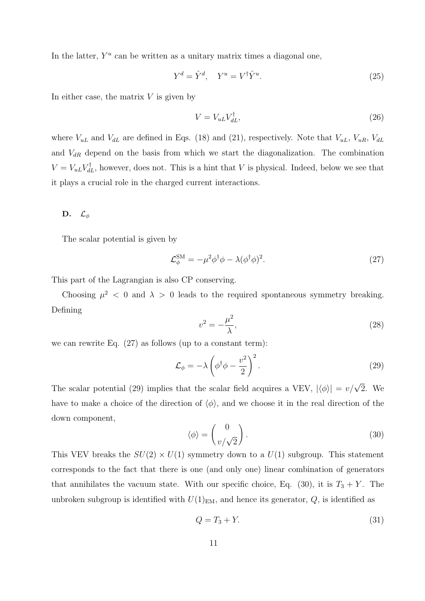In the latter,  $Y^u$  can be written as a unitary matrix times a diagonal one,

$$
Y^d = \hat{Y}^d, \quad Y^u = V^{\dagger} \hat{Y}^u.
$$
\n
$$
(25)
$$

In either case, the matrix  $V$  is given by

$$
V = V_{uL} V_{dL}^{\dagger},\tag{26}
$$

where  $V_{uL}$  and  $V_{dL}$  are defined in Eqs. (18) and (21), respectively. Note that  $V_{uL}$ ,  $V_{uR}$ ,  $V_{dL}$ and  $V_{dR}$  depend on the basis from which we start the diagonalization. The combination  $V = V_{uL} V_{dL}^{\dagger}$ , however, does not. This is a hint that V is physical. Indeed, below we see that it plays a crucial role in the charged current interactions.

# D.  $\mathcal{L}_{\phi}$

The scalar potential is given by

$$
\mathcal{L}_{\phi}^{\text{SM}} = -\mu^2 \phi^{\dagger} \phi - \lambda (\phi^{\dagger} \phi)^2. \tag{27}
$$

This part of the Lagrangian is also CP conserving.

Choosing  $\mu^2$  < 0 and  $\lambda > 0$  leads to the required spontaneous symmetry breaking. Defining

$$
v^2 = -\frac{\mu^2}{\lambda},\tag{28}
$$

we can rewrite Eq. (27) as follows (up to a constant term):

$$
\mathcal{L}_{\phi} = -\lambda \left( \phi^{\dagger} \phi - \frac{v^2}{2} \right)^2.
$$
\n(29)

The scalar potential (29) implies that the scalar field acquires a VEV,  $|\langle \phi \rangle| = v/\sqrt{2}$ . We have to make a choice of the direction of  $\langle \phi \rangle$ , and we choose it in the real direction of the down component,

$$
\langle \phi \rangle = \begin{pmatrix} 0 \\ v/\sqrt{2} \end{pmatrix} . \tag{30}
$$

This VEV breaks the  $SU(2) \times U(1)$  symmetry down to a  $U(1)$  subgroup. This statement corresponds to the fact that there is one (and only one) linear combination of generators that annihilates the vacuum state. With our specific choice, Eq. (30), it is  $T_3 + Y$ . The unbroken subgroup is identified with  $U(1)_{EM}$ , and hence its generator, Q, is identified as

$$
Q = T_3 + Y.\t\t(31)
$$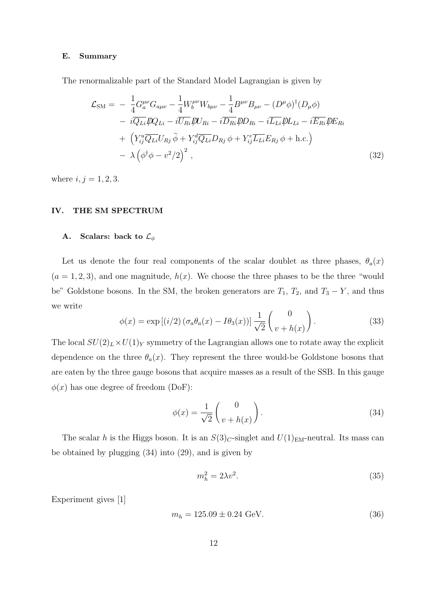### E. Summary

The renormalizable part of the Standard Model Lagrangian is given by

$$
\mathcal{L}_{\rm SM} = -\frac{1}{4} G_a^{\mu\nu} G_{a\mu\nu} - \frac{1}{4} W_b^{\mu\nu} W_{b\mu\nu} - \frac{1}{4} B^{\mu\nu} B_{\mu\nu} - (D^{\mu} \phi)^{\dagger} (D_{\mu} \phi) \n- i \overline{Q_{Li}} \mathcal{D}_{Li} - i \overline{U_{Ri}} \mathcal{D}_{Ri} - i \overline{D_{Ri}} \mathcal{D}_{Ri} - i \overline{L_{Li}} \mathcal{D}_{Li} - i \overline{E_{Ri}} \mathcal{D}_{Ri} \n+ \left( Y_{ij}^u \overline{Q_{Li}} U_{Rj} \tilde{\phi} + Y_{ij}^d \overline{Q_{Li}} D_{Rj} \phi + Y_{ij}^e \overline{L_{Li}} E_{Rj} \phi + \text{h.c.} \right) \n- \lambda \left( \phi^{\dagger} \phi - v^2 / 2 \right)^2 ,
$$
\n(32)

where  $i, j = 1, 2, 3$ .

### IV. THE SM SPECTRUM

# A. Scalars: back to  $\mathcal{L}_{\phi}$

Let us denote the four real components of the scalar doublet as three phases,  $\theta_a(x)$  $(a = 1, 2, 3)$ , and one magnitude,  $h(x)$ . We choose the three phases to be the three "would be" Goldstone bosons. In the SM, the broken generators are  $T_1$ ,  $T_2$ , and  $T_3 - Y$ , and thus we write

$$
\phi(x) = \exp\left[(i/2)\left(\sigma_a \theta_a(x) - I\theta_3(x)\right)\right] \frac{1}{\sqrt{2}} \begin{pmatrix} 0\\ v + h(x) \end{pmatrix}.
$$
 (33)

The local  $SU(2)_L \times U(1)_Y$  symmetry of the Lagrangian allows one to rotate away the explicit dependence on the three  $\theta_a(x)$ . They represent the three would-be Goldstone bosons that are eaten by the three gauge bosons that acquire masses as a result of the SSB. In this gauge  $\phi(x)$  has one degree of freedom (DoF):

$$
\phi(x) = \frac{1}{\sqrt{2}} \begin{pmatrix} 0 \\ v + h(x) \end{pmatrix} . \tag{34}
$$

The scalar h is the Higgs boson. It is an  $S(3)_C$ -singlet and  $U(1)_{EM}$ -neutral. Its mass can be obtained by plugging (34) into (29), and is given by

$$
m_h^2 = 2\lambda v^2. \tag{35}
$$

Experiment gives [1]

$$
m_h = 125.09 \pm 0.24 \text{ GeV}.
$$
\n(36)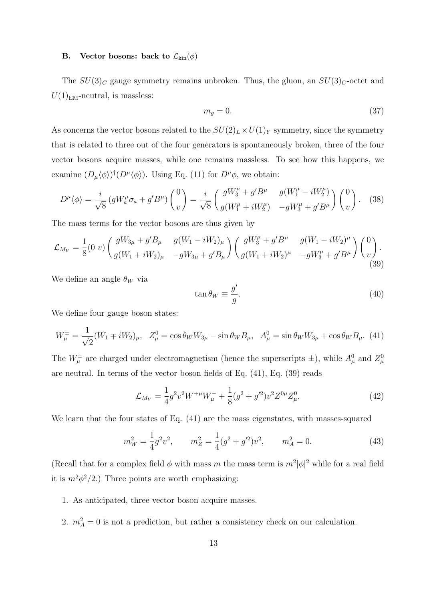## **B.** Vector bosons: back to  $\mathcal{L}_{kin}(\phi)$

The  $SU(3)_C$  gauge symmetry remains unbroken. Thus, the gluon, an  $SU(3)_C$ -octet and  $U(1)_{\text{EM}}$ -neutral, is massless:

$$
m_g = 0.\t\t(37)
$$

As concerns the vector bosons related to the  $SU(2)_L \times U(1)_Y$  symmetry, since the symmetry that is related to three out of the four generators is spontaneously broken, three of the four vector bosons acquire masses, while one remains massless. To see how this happens, we examine  $(D_{\mu}\langle \phi \rangle)^{\dagger} (D^{\mu}\langle \phi \rangle)$ . Using Eq. (11) for  $D^{\mu}\phi$ , we obtain:

$$
D^{\mu}\langle\phi\rangle = \frac{i}{\sqrt{8}} \left( gW_a^{\mu}\sigma_a + g'B^{\mu} \right) \binom{0}{v} = \frac{i}{\sqrt{8}} \binom{gW_3^{\mu} + g'B^{\mu}}{g(W_1^{\mu} + iW_2^{\mu})} \begin{pmatrix} gW_1^{\mu} - iW_2^{\mu} \end{pmatrix} \binom{0}{v} . \tag{38}
$$

The mass terms for the vector bosons are thus given by

$$
\mathcal{L}_{M_V} = \frac{1}{8} (0 \ v) \begin{pmatrix} gW_{3\mu} + g'B_{\mu} & g(W_1 - iW_2)_{\mu} \\ g(W_1 + iW_2)_{\mu} & -gW_{3\mu} + g'B_{\mu} \end{pmatrix} \begin{pmatrix} gW_3^{\mu} + g'B^{\mu} & g(W_1 - iW_2)^{\mu} \\ g(W_1 + iW_2)^{\mu} & -gW_3^{\mu} + g'B^{\mu} \end{pmatrix} \begin{pmatrix} 0 \\ v \end{pmatrix} .
$$
\n(39)

We define an angle  $\theta_W$  via

$$
\tan \theta_W \equiv \frac{g'}{g}.\tag{40}
$$

We define four gauge boson states:

$$
W^{\pm}_{\mu} = \frac{1}{\sqrt{2}} (W_1 \mp iW_2)_{\mu}, \quad Z^0_{\mu} = \cos \theta_W W_{3\mu} - \sin \theta_W B_{\mu}, \quad A^0_{\mu} = \sin \theta_W W_{3\mu} + \cos \theta_W B_{\mu}. \tag{41}
$$

The  $W^{\pm}_{\mu}$  are charged under electromagnetism (hence the superscripts  $\pm$ ), while  $A_{\mu}^{0}$  and  $Z_{\mu}^{0}$ are neutral. In terms of the vector boson fields of Eq. (41), Eq. (39) reads

$$
\mathcal{L}_{M_V} = \frac{1}{4} g^2 v^2 W^{+\mu} W^{-}_{\mu} + \frac{1}{8} (g^2 + g'^2) v^2 Z^{0\mu} Z^0_{\mu}.
$$
\n(42)

We learn that the four states of Eq. (41) are the mass eigenstates, with masses-squared

$$
m_W^2 = \frac{1}{4}g^2v^2, \qquad m_Z^2 = \frac{1}{4}(g^2 + g'^2)v^2, \qquad m_A^2 = 0.
$$
 (43)

(Recall that for a complex field  $\phi$  with mass m the mass term is  $m^2|\phi|^2$  while for a real field it is  $m^2\phi^2/2$ .) Three points are worth emphasizing:

- 1. As anticipated, three vector boson acquire masses.
- 2.  $m_A^2 = 0$  is not a prediction, but rather a consistency check on our calculation.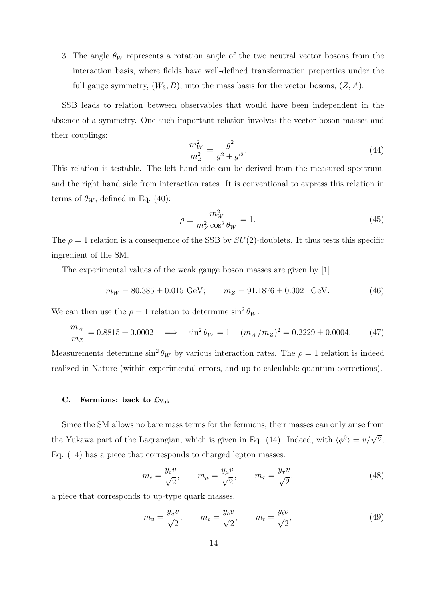3. The angle  $\theta_W$  represents a rotation angle of the two neutral vector bosons from the interaction basis, where fields have well-defined transformation properties under the full gauge symmetry,  $(W_3, B)$ , into the mass basis for the vector bosons,  $(Z, A)$ .

SSB leads to relation between observables that would have been independent in the absence of a symmetry. One such important relation involves the vector-boson masses and their couplings:

$$
\frac{m_W^2}{m_Z^2} = \frac{g^2}{g^2 + g'^2}.\tag{44}
$$

This relation is testable. The left hand side can be derived from the measured spectrum, and the right hand side from interaction rates. It is conventional to express this relation in terms of  $\theta_W$ , defined in Eq. (40):

$$
\rho \equiv \frac{m_W^2}{m_Z^2 \cos^2 \theta_W} = 1. \tag{45}
$$

The  $\rho = 1$  relation is a consequence of the SSB by  $SU(2)$ -doublets. It thus tests this specific ingredient of the SM.

The experimental values of the weak gauge boson masses are given by [1]

$$
m_W = 80.385 \pm 0.015 \text{ GeV}; \qquad m_Z = 91.1876 \pm 0.0021 \text{ GeV}. \tag{46}
$$

We can then use the  $\rho = 1$  relation to determine  $\sin^2 \theta_W$ :

$$
\frac{m_W}{m_Z} = 0.8815 \pm 0.0002 \quad \Longrightarrow \quad \sin^2 \theta_W = 1 - (m_W/m_Z)^2 = 0.2229 \pm 0.0004. \tag{47}
$$

Measurements determine  $\sin^2 \theta_W$  by various interaction rates. The  $\rho = 1$  relation is indeed realized in Nature (within experimental errors, and up to calculable quantum corrections).

#### C. Fermions: back to  $\mathcal{L}_{\text{Yuk}}$

Since the SM allows no bare mass terms for the fermions, their masses can only arise from the Yukawa part of the Lagrangian, which is given in Eq. (14). Indeed, with  $\langle \phi^0 \rangle = v/\sqrt{2}$ , Eq. (14) has a piece that corresponds to charged lepton masses:

$$
m_e = \frac{y_e v}{\sqrt{2}}, \qquad m_\mu = \frac{y_\mu v}{\sqrt{2}}, \qquad m_\tau = \frac{y_\tau v}{\sqrt{2}},
$$
 (48)

a piece that corresponds to up-type quark masses,

$$
m_u = \frac{y_u v}{\sqrt{2}}, \qquad m_c = \frac{y_c v}{\sqrt{2}}, \qquad m_t = \frac{y_t v}{\sqrt{2}}, \tag{49}
$$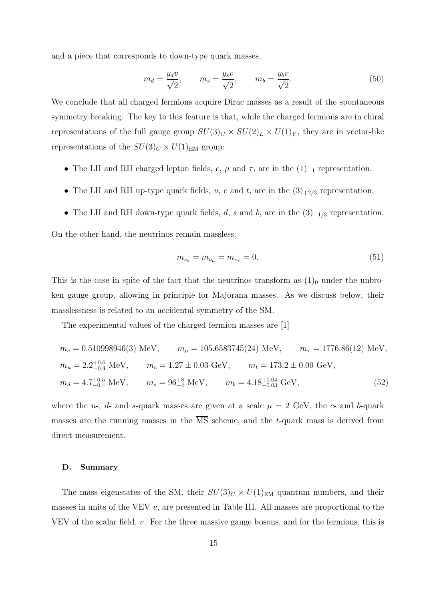and a piece that corresponds to down-type quark masses,

$$
m_d = \frac{y_d v}{\sqrt{2}}, \qquad m_s = \frac{y_s v}{\sqrt{2}}, \qquad m_b = \frac{y_b v}{\sqrt{2}}.
$$
\n
$$
(50)
$$

We conclude that all charged fermions acquire Dirac masses as a result of the spontaneous symmetry breaking. The key to this feature is that, while the charged fermions are in chiral representations of the full gauge group  $SU(3)_C \times SU(2)_L \times U(1)_Y$ , they are in vector-like representations of the  $SU(3)_C\times U(1)_{\rm EM}$  group:

- The LH and RH charged lepton fields,  $e, \mu$  and  $\tau$ , are in the  $(1)_{-1}$  representation.
- The LH and RH up-type quark fields, u, c and t, are in the  $(3)_{+2/3}$  representation.
- The LH and RH down-type quark fields, d, s and b, are in the  $(3)_{-1/3}$  representation.

On the other hand, the neutrinos remain massless:

$$
m_{\nu_e} = m_{\nu_\mu} = m_{\nu_\tau} = 0. \tag{51}
$$

This is the case in spite of the fact that the neutrinos transform as  $(1)<sub>0</sub>$  under the unbroken gauge group, allowing in principle for Majorana masses. As we discuss below, their masslessness is related to an accidental symmetry of the SM.

The experimental values of the charged fermion masses are [1]

$$
m_e = 0.510998946(3) \text{ MeV}, \qquad m_\mu = 105.6583745(24) \text{ MeV}, \qquad m_\tau = 1776.86(12) \text{ MeV},
$$
  
\n
$$
m_u = 2.2^{+0.6}_{-0.4} \text{ MeV}, \qquad m_c = 1.27 \pm 0.03 \text{ GeV}, \qquad m_t = 173.2 \pm 0.09 \text{ GeV},
$$
  
\n
$$
m_d = 4.7^{+0.5}_{-0.4} \text{ MeV}, \qquad m_s = 96^{+8}_{-4} \text{ MeV}, \qquad m_b = 4.18^{+0.04}_{-0.03} \text{ GeV}, \tag{52}
$$

where the  $u$ -,  $d$ - and  $s$ -quark masses are given at a scale  $\mu = 2$  GeV, the  $c$ - and  $b$ -quark masses are the running masses in the  $\overline{\text{MS}}$  scheme, and the t-quark mass is derived from direct measurement.

### D. Summary

The mass eigenstates of the SM, their  $SU(3)_C \times U(1)_{\text{EM}}$  quantum numbers, and their masses in units of the VEV  $v$ , are presented in Table III. All masses are proportional to the VEV of the scalar field,  $v$ . For the three massive gauge bosons, and for the fermions, this is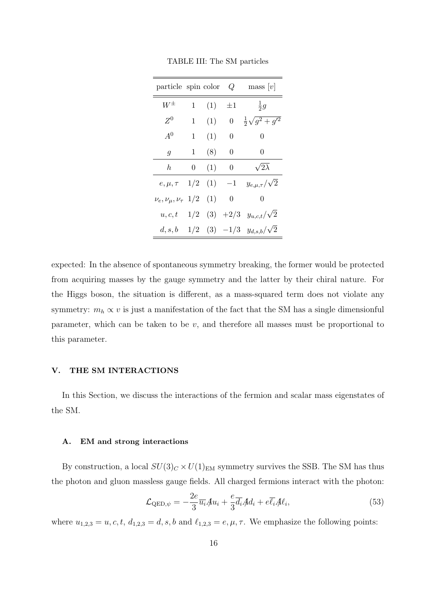| particle spin color        |     |     | Q                  | $\text{mass} [v]$            |
|----------------------------|-----|-----|--------------------|------------------------------|
| $W^{\pm}$                  | 1   | (1) | $\pm 1$            | $rac{1}{2}g$                 |
| $Z^0$                      | 1   | (1) | 0                  | $rac{1}{2}\sqrt{g^2+g'^2}$   |
| $A^0$                      | 1   | (1) | 0                  | 0                            |
| $\overline{g}$             | 1   | (8) | 0                  | 0                            |
| h.                         | 0   | (1) | 0                  | $\sqrt{2\overline{\lambda}}$ |
| $e, \mu, \tau$             | 1/2 |     | $(1) -1$           | $y_{e,\mu,\tau}/\sqrt{2}$    |
| $\nu_e, \nu_\mu, \nu_\tau$ | 1/2 | (1) | 0                  | 0                            |
| u, c, t                    | 1/2 |     | $(3) +2/3$         | $y_{u,c,t}/\sqrt{2}$         |
| d, s, b                    |     |     | $1/2$ $(3)$ $-1/3$ | $y_{d,s,b}/\sqrt{2}$         |

TABLE III: The SM particles

expected: In the absence of spontaneous symmetry breaking, the former would be protected from acquiring masses by the gauge symmetry and the latter by their chiral nature. For the Higgs boson, the situation is different, as a mass-squared term does not violate any symmetry:  $m_h \propto v$  is just a manifestation of the fact that the SM has a single dimensionful parameter, which can be taken to be  $v$ , and therefore all masses must be proportional to this parameter.

# V. THE SM INTERACTIONS

In this Section, we discuss the interactions of the fermion and scalar mass eigenstates of the SM.

### A. EM and strong interactions

By construction, a local  $SU(3)_C \times U(1)_{EM}$  symmetry survives the SSB. The SM has thus the photon and gluon massless gauge fields. All charged fermions interact with the photon:

$$
\mathcal{L}_{\text{QED},\psi} = -\frac{2e}{3}\overline{u_i}\mathcal{A}u_i + \frac{e}{3}\overline{d_i}\mathcal{A}d_i + e\overline{\ell_i}\mathcal{A}\ell_i,\tag{53}
$$

where  $u_{1,2,3} = u, c, t, d_{1,2,3} = d, s, b$  and  $\ell_{1,2,3} = e, \mu, \tau$ . We emphasize the following points: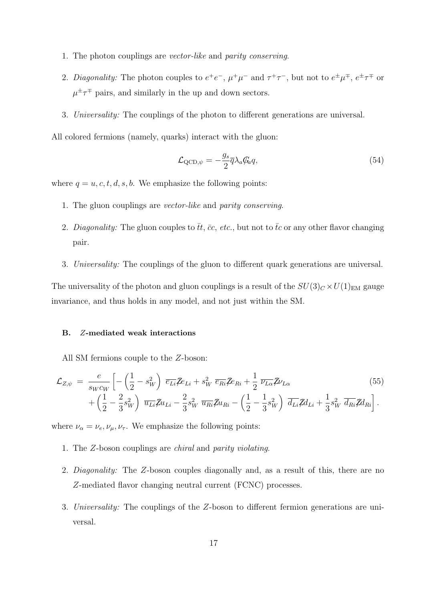- 1. The photon couplings are vector-like and parity conserving.
- 2. Diagonality: The photon couples to  $e^+e^-$ ,  $\mu^+\mu^-$  and  $\tau^+\tau^-$ , but not to  $e^{\pm}\mu^{\mp}$ ,  $e^{\pm}\tau^{\mp}$  or  $\mu^{\pm} \tau^{\mp}$  pairs, and similarly in the up and down sectors.
- 3. Universality: The couplings of the photon to different generations are universal.

All colored fermions (namely, quarks) interact with the gluon:

$$
\mathcal{L}_{\text{QCD},\psi} = -\frac{g_s}{2}\overline{q}\lambda_a \mathcal{G}_a q,\tag{54}
$$

where  $q = u, c, t, d, s, b$ . We emphasize the following points:

- 1. The gluon couplings are vector-like and parity conserving.
- 2. Diagonality: The gluon couples to  $\bar{t}t$ ,  $\bar{c}c$ , etc., but not to  $\bar{t}c$  or any other flavor changing pair.
- 3. Universality: The couplings of the gluon to different quark generations are universal.

The universality of the photon and gluon couplings is a result of the  $SU(3)_C \times U(1)_{\text{EM}}$  gauge invariance, and thus holds in any model, and not just within the SM.

# B. Z-mediated weak interactions

All SM fermions couple to the Z-boson:

$$
\mathcal{L}_{Z,\psi} = \frac{e}{s_W c_W} \left[ -\left(\frac{1}{2} - s_W^2\right) \overline{e_{Li}} \mathcal{Z} e_{Li} + s_W^2 \overline{e_{Ri}} \mathcal{Z} e_{Ri} + \frac{1}{2} \overline{\nu_{L\alpha}} \mathcal{Z} \nu_{L\alpha} \right. \tag{55}
$$
\n
$$
+ \left(\frac{1}{2} - \frac{2}{3} s_W^2\right) \overline{u_{Li}} \mathcal{Z} u_{Li} - \frac{2}{3} s_W^2 \overline{u_{Ri}} \mathcal{Z} u_{Ri} - \left(\frac{1}{2} - \frac{1}{3} s_W^2\right) \overline{d_{Li}} \mathcal{Z} d_{Li} + \frac{1}{3} s_W^2 \overline{d_{Ri}} \mathcal{Z} d_{Ri} \right].
$$

where  $\nu_{\alpha} = \nu_e, \nu_{\mu}, \nu_{\tau}$ . We emphasize the following points:

- 1. The Z-boson couplings are chiral and parity violating.
- 2. *Diagonality:* The Z-boson couples diagonally and, as a result of this, there are no Z-mediated flavor changing neutral current (FCNC) processes.
- 3. Universality: The couplings of the Z-boson to different fermion generations are universal.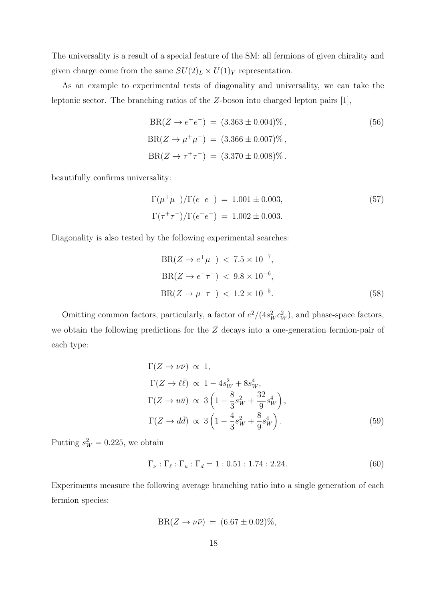The universality is a result of a special feature of the SM: all fermions of given chirality and given charge come from the same  $SU(2)_L\times U(1)_Y$  representation.

As an example to experimental tests of diagonality and universality, we can take the leptonic sector. The branching ratios of the Z-boson into charged lepton pairs [1],

$$
BR(Z \to e^+e^-) = (3.363 \pm 0.004)\%,
$$
  
\n
$$
BR(Z \to \mu^+\mu^-) = (3.366 \pm 0.007)\%,
$$
  
\n
$$
BR(Z \to \tau^+\tau^-) = (3.370 \pm 0.008)\%.
$$
\n(56)

beautifully confirms universality:

$$
\Gamma(\mu^+\mu^-)/\Gamma(e^+e^-) = 1.001 \pm 0.003,
$$
  
\n
$$
\Gamma(\tau^+\tau^-)/\Gamma(e^+e^-) = 1.002 \pm 0.003.
$$
\n(57)

Diagonality is also tested by the following experimental searches:

$$
BR(Z \to e^+ \mu^-) < 7.5 \times 10^{-7},
$$
\n
$$
BR(Z \to e^+ \tau^-) < 9.8 \times 10^{-6},
$$
\n
$$
BR(Z \to \mu^+ \tau^-) < 1.2 \times 10^{-5}.
$$
\n
$$
(58)
$$

Omitting common factors, particularly, a factor of  $e^2/(4s_W^2c_W^2)$ , and phase-space factors, we obtain the following predictions for the Z decays into a one-generation fermion-pair of each type:

$$
\Gamma(Z \to \nu\bar{\nu}) \propto 1,
$$
  
\n
$$
\Gamma(Z \to \ell\bar{\ell}) \propto 1 - 4s_W^2 + 8s_W^4,
$$
  
\n
$$
\Gamma(Z \to u\bar{u}) \propto 3\left(1 - \frac{8}{3}s_W^2 + \frac{32}{9}s_W^4\right),
$$
  
\n
$$
\Gamma(Z \to d\bar{d}) \propto 3\left(1 - \frac{4}{3}s_W^2 + \frac{8}{9}s_W^4\right).
$$
\n(59)

Putting  $s_W^2 = 0.225$ , we obtain

$$
\Gamma_{\nu} : \Gamma_{\ell} : \Gamma_{u} : \Gamma_{d} = 1 : 0.51 : 1.74 : 2.24.
$$
\n(60)

Experiments measure the following average branching ratio into a single generation of each fermion species:

$$
BR(Z \to \nu \bar{\nu}) = (6.67 \pm 0.02)\%,
$$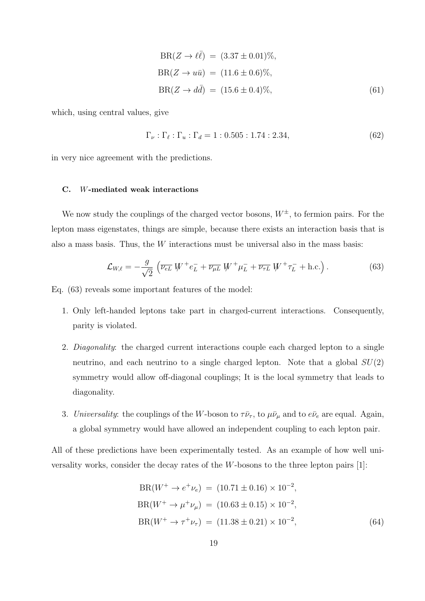$$
BR(Z \to \ell \bar{\ell}) = (3.37 \pm 0.01)\%,
$$
  
\n
$$
BR(Z \to u\bar{u}) = (11.6 \pm 0.6)\%,
$$
  
\n
$$
BR(Z \to d\bar{d}) = (15.6 \pm 0.4)\%,
$$
\n(61)

which, using central values, give

$$
\Gamma_{\nu} : \Gamma_{\ell} : \Gamma_{u} : \Gamma_{d} = 1 : 0.505 : 1.74 : 2.34,
$$
\n(62)

in very nice agreement with the predictions.

### C. W-mediated weak interactions

We now study the couplings of the charged vector bosons,  $W^{\pm}$ , to fermion pairs. For the lepton mass eigenstates, things are simple, because there exists an interaction basis that is also a mass basis. Thus, the W interactions must be universal also in the mass basis:

$$
\mathcal{L}_{W,\ell} = -\frac{g}{\sqrt{2}} \left( \overline{\nu_{eL}} \ W^+ e^-_L + \overline{\nu_{\mu L}} \ W^+ \mu^-_L + \overline{\nu_{\tau L}} \ W^+ \tau^-_L + \text{h.c.} \right). \tag{63}
$$

Eq. (63) reveals some important features of the model:

- 1. Only left-handed leptons take part in charged-current interactions. Consequently, parity is violated.
- 2. *Diagonality*: the charged current interactions couple each charged lepton to a single neutrino, and each neutrino to a single charged lepton. Note that a global  $SU(2)$ symmetry would allow off-diagonal couplings; It is the local symmetry that leads to diagonality.
- 3. Universality: the couplings of the W-boson to  $\tau \bar{\nu}_{\tau}$ , to  $\mu \bar{\nu}_{\mu}$  and to  $e \bar{\nu}_{e}$  are equal. Again, a global symmetry would have allowed an independent coupling to each lepton pair.

All of these predictions have been experimentally tested. As an example of how well universality works, consider the decay rates of the W-bosons to the three lepton pairs [1]:

$$
BR(W^+ \to e^+ \nu_e) = (10.71 \pm 0.16) \times 10^{-2},
$$
  
\n
$$
BR(W^+ \to \mu^+ \nu_\mu) = (10.63 \pm 0.15) \times 10^{-2},
$$
  
\n
$$
BR(W^+ \to \tau^+ \nu_\tau) = (11.38 \pm 0.21) \times 10^{-2},
$$
\n(64)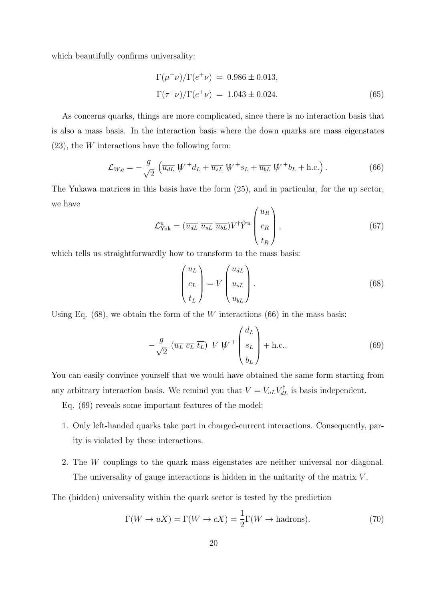which beautifully confirms universality:

$$
\Gamma(\mu^+\nu)/\Gamma(e^+\nu) = 0.986 \pm 0.013,
$$
  
\n
$$
\Gamma(\tau^+\nu)/\Gamma(e^+\nu) = 1.043 \pm 0.024.
$$
\n(65)

As concerns quarks, things are more complicated, since there is no interaction basis that is also a mass basis. In the interaction basis where the down quarks are mass eigenstates  $(23)$ , the W interactions have the following form:

$$
\mathcal{L}_{W,q} = -\frac{g}{\sqrt{2}} \left( \overline{u_{dL}} \, W^+ d_L + \overline{u_{sL}} \, W^+ s_L + \overline{u_{bL}} \, W^+ b_L + \text{h.c.} \right). \tag{66}
$$

The Yukawa matrices in this basis have the form (25), and in particular, for the up sector, we have

$$
\mathcal{L}_{\text{Yuk}}^{u} = (\overline{u_{dL}} \ \overline{u_{sL}} \ \overline{u_{bL}}) V^{\dagger} \hat{Y}^{u} \begin{pmatrix} u_R \\ c_R \\ t_R \end{pmatrix}, \tag{67}
$$

which tells us straightforwardly how to transform to the mass basis:

$$
\begin{pmatrix} u_L \\ c_L \\ t_L \end{pmatrix} = V \begin{pmatrix} u_{dL} \\ u_{sL} \\ u_{bL} \end{pmatrix} . \tag{68}
$$

Using Eq.  $(68)$ , we obtain the form of the W interactions  $(66)$  in the mass basis:

$$
-\frac{g}{\sqrt{2}}\left(\overline{u_L}\ \overline{c_L}\ \overline{t_L}\right)\ V\ W^+\begin{pmatrix}d_L\\s_L\\b_L\end{pmatrix} + \text{h.c.} \tag{69}
$$

You can easily convince yourself that we would have obtained the same form starting from any arbitrary interaction basis. We remind you that  $V = V_{uL} V_{dL}^{\dagger}$  is basis independent.

Eq. (69) reveals some important features of the model:

- 1. Only left-handed quarks take part in charged-current interactions. Consequently, parity is violated by these interactions.
- 2. The W couplings to the quark mass eigenstates are neither universal nor diagonal. The universality of gauge interactions is hidden in the unitarity of the matrix V.

The (hidden) universality within the quark sector is tested by the prediction

$$
\Gamma(W \to uX) = \Gamma(W \to cX) = \frac{1}{2}\Gamma(W \to \text{hadrons}).\tag{70}
$$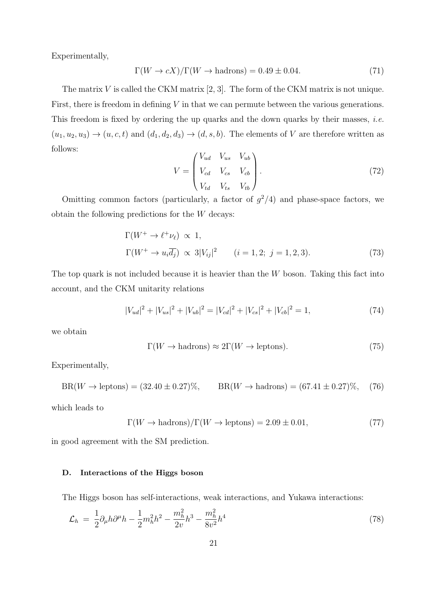Experimentally,

$$
\Gamma(W \to cX)/\Gamma(W \to \text{hadrons}) = 0.49 \pm 0.04. \tag{71}
$$

The matrix  $V$  is called the CKM matrix [2, 3]. The form of the CKM matrix is not unique. First, there is freedom in defining  $V$  in that we can permute between the various generations. This freedom is fixed by ordering the up quarks and the down quarks by their masses, *i.e.*  $(u_1, u_2, u_3) \rightarrow (u, c, t)$  and  $(d_1, d_2, d_3) \rightarrow (d, s, b)$ . The elements of V are therefore written as follows:

$$
V = \begin{pmatrix} V_{ud} & V_{us} & V_{ub} \\ V_{cd} & V_{cs} & V_{cb} \\ V_{td} & V_{ts} & V_{tb} \end{pmatrix}.
$$
 (72)

Omitting common factors (particularly, a factor of  $g^2/4$ ) and phase-space factors, we obtain the following predictions for the  $W$  decays:

$$
\Gamma(W^+ \to \ell^+ \nu_\ell) \propto 1,
$$
  
\n
$$
\Gamma(W^+ \to u_i \overline{d_j}) \propto 3|V_{ij}|^2 \qquad (i = 1, 2; j = 1, 2, 3).
$$
\n(73)

The top quark is not included because it is heavier than the  $W$  boson. Taking this fact into account, and the CKM unitarity relations

$$
|V_{ud}|^2 + |V_{us}|^2 + |V_{ub}|^2 = |V_{cd}|^2 + |V_{cs}|^2 + |V_{cb}|^2 = 1,
$$
\n(74)

we obtain

$$
\Gamma(W \to \text{hadrons}) \approx 2\Gamma(W \to \text{leptons}).\tag{75}
$$

Experimentally,

$$
BR(W \to \text{leptons}) = (32.40 \pm 0.27)\%, \qquad BR(W \to \text{hadrons}) = (67.41 \pm 0.27)\%, \quad (76)
$$

which leads to

$$
\Gamma(W \to \text{hadrons})/\Gamma(W \to \text{leptons}) = 2.09 \pm 0.01,\tag{77}
$$

in good agreement with the SM prediction.

### D. Interactions of the Higgs boson

The Higgs boson has self-interactions, weak interactions, and Yukawa interactions:

$$
\mathcal{L}_h = \frac{1}{2} \partial_\mu h \partial^\mu h - \frac{1}{2} m_h^2 h^2 - \frac{m_h^2}{2v} h^3 - \frac{m_h^2}{8v^2} h^4 \tag{78}
$$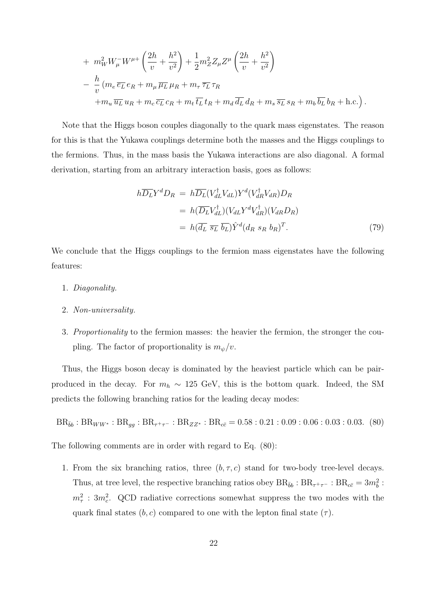+ 
$$
m_W^2 W_\mu^- W^{\mu+} \left( \frac{2h}{v} + \frac{h^2}{v^2} \right) + \frac{1}{2} m_Z^2 Z_\mu Z^\mu \left( \frac{2h}{v} + \frac{h^2}{v^2} \right)
$$
  
\n-  $\frac{h}{v} (m_e \overline{e_L} e_R + m_\mu \overline{\mu_L} \mu_R + m_\tau \overline{\tau_L} \tau_R$   
\n+  $m_u \overline{u_L} u_R + m_c \overline{c_L} c_R + m_t \overline{t_L} t_R + m_d \overline{d_L} d_R + m_s \overline{s_L} s_R + m_b \overline{b_L} b_R + \text{h.c.})$ .

Note that the Higgs boson couples diagonally to the quark mass eigenstates. The reason for this is that the Yukawa couplings determine both the masses and the Higgs couplings to the fermions. Thus, in the mass basis the Yukawa interactions are also diagonal. A formal derivation, starting from an arbitrary interaction basis, goes as follows:

$$
h\overline{D_L}Y^dD_R = h\overline{D_L}(V_{dL}^{\dagger}V_{dL})Y^d(V_{dR}^{\dagger}V_{dR})D_R
$$
  
=  $h(\overline{D_L}V_{dL}^{\dagger})(V_{dL}Y^dV_{dR}^{\dagger})(V_{dR}D_R)$   
=  $h(\overline{d_L}\ \overline{s_L}\ \overline{b_L})\hat{Y}^d(d_R\ s_R\ b_R)^T.$  (79)

We conclude that the Higgs couplings to the fermion mass eigenstates have the following features:

- 1. Diagonality.
- 2. Non-universality.
- 3. Proportionality to the fermion masses: the heavier the fermion, the stronger the coupling. The factor of proportionality is  $m_{\psi}/v$ .

Thus, the Higgs boson decay is dominated by the heaviest particle which can be pairproduced in the decay. For  $m_h \sim 125$  GeV, this is the bottom quark. Indeed, the SM predicts the following branching ratios for the leading decay modes:

$$
BR_{\bar{b}b} : BR_{WW^*} : BR_{gg} : BR_{\tau^+\tau^-} : BR_{ZZ^*} : BR_{c\bar{c}} = 0.58 : 0.21 : 0.09 : 0.06 : 0.03 : 0.03. (80)
$$

The following comments are in order with regard to Eq. (80):

1. From the six branching ratios, three  $(b, \tau, c)$  stand for two-body tree-level decays. Thus, at tree level, the respective branching ratios obey  $BR_{\bar{b}b}$ :  $BR_{\tau^+\tau^-}$ :  $BR_{c\bar{c}} = 3m_b^2$ :  $m_{\tau}^2$ : 3 $m_c^2$ . QCD radiative corrections somewhat suppress the two modes with the quark final states  $(b, c)$  compared to one with the lepton final state  $(\tau)$ .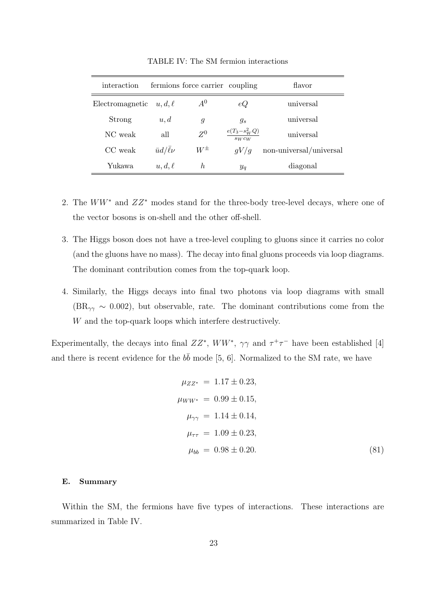| interaction     |                    | fermions force carrier coupling |                                | flavor                  |
|-----------------|--------------------|---------------------------------|--------------------------------|-------------------------|
| Electromagnetic | $u, d, \ell$       | $A^0$                           | eQ                             | universal               |
| Strong          | u, d               | g                               | $q_s$                          | universal               |
| NC weak         | all                | $Z^0$                           | $e(T_3 - s_W^2 Q)$<br>$s_Wc_W$ | universal               |
| CC weak         | $\bar{u}d/\ell\nu$ | $W^{\pm}$                       | qV/q                           | non-universal/universal |
| Yukawa          | $u, d, \ell$       | h.                              | $y_q$                          | diagonal                |

TABLE IV: The SM fermion interactions

- 2. The  $WW^*$  and  $ZZ^*$  modes stand for the three-body tree-level decays, where one of the vector bosons is on-shell and the other off-shell.
- 3. The Higgs boson does not have a tree-level coupling to gluons since it carries no color (and the gluons have no mass). The decay into final gluons proceeds via loop diagrams. The dominant contribution comes from the top-quark loop.
- 4. Similarly, the Higgs decays into final two photons via loop diagrams with small  $(BR<sub>γγ</sub> ~ 0.002)$ , but observable, rate. The dominant contributions come from the W and the top-quark loops which interfere destructively.

Experimentally, the decays into final  $ZZ^*$ ,  $WW^*$ ,  $\gamma\gamma$  and  $\tau^+\tau^-$  have been established [4] and there is recent evidence for the  $b\bar{b}$  mode [5, 6]. Normalized to the SM rate, we have

$$
\mu_{ZZ^*} = 1.17 \pm 0.23,
$$
  
\n
$$
\mu_{WW^*} = 0.99 \pm 0.15,
$$
  
\n
$$
\mu_{\gamma\gamma} = 1.14 \pm 0.14,
$$
  
\n
$$
\mu_{\tau\tau} = 1.09 \pm 0.23,
$$
  
\n
$$
\mu_{bb} = 0.98 \pm 0.20.
$$
\n(81)

### E. Summary

Within the SM, the fermions have five types of interactions. These interactions are summarized in Table IV.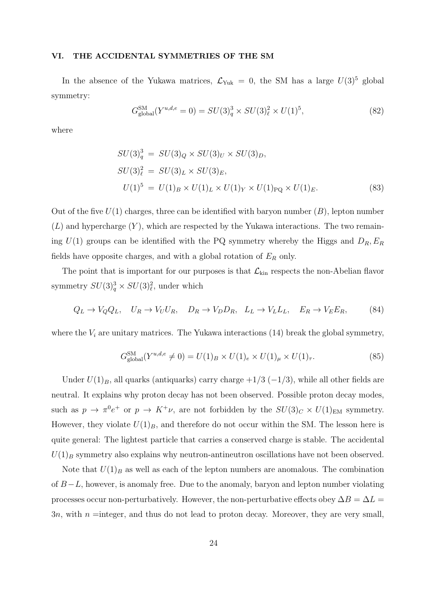#### VI. THE ACCIDENTAL SYMMETRIES OF THE SM

In the absence of the Yukawa matrices,  $\mathcal{L}_{\text{Yuk}} = 0$ , the SM has a large  $U(3)^5$  global symmetry:

$$
G_{\text{global}}^{\text{SM}}(Y^{u,d,e}=0) = SU(3)_q^3 \times SU(3)_\ell^2 \times U(1)^5,\tag{82}
$$

where

$$
SU(3)_q^3 = SU(3)_Q \times SU(3)_U \times SU(3)_D,
$$
  
\n
$$
SU(3)_\ell^2 = SU(3)_L \times SU(3)_E,
$$
  
\n
$$
U(1)^5 = U(1)_B \times U(1)_L \times U(1)_Y \times U(1)_{\text{PQ}} \times U(1)_E.
$$
\n(83)

Out of the five  $U(1)$  charges, three can be identified with baryon number  $(B)$ , lepton number  $(L)$  and hypercharge  $(Y)$ , which are respected by the Yukawa interactions. The two remaining  $U(1)$  groups can be identified with the PQ symmetry whereby the Higgs and  $D_R$ ,  $E_R$ fields have opposite charges, and with a global rotation of  $E_R$  only.

The point that is important for our purposes is that  $\mathcal{L}_{kin}$  respects the non-Abelian flavor symmetry  $SU(3)^3_q \times SU(3)^2_\ell$ , under which

$$
Q_L \to V_Q Q_L, \quad U_R \to V_U U_R, \quad D_R \to V_D D_R, \quad L_L \to V_L L_L, \quad E_R \to V_E E_R,\tag{84}
$$

where the  $V_i$  are unitary matrices. The Yukawa interactions (14) break the global symmetry,

$$
G_{\text{global}}^{\text{SM}}(Y^{u,d,e} \neq 0) = U(1)_B \times U(1)_e \times U(1)_\mu \times U(1)_\tau.
$$
 (85)

Under  $U(1)_B$ , all quarks (antiquarks) carry charge  $+1/3$  ( $-1/3$ ), while all other fields are neutral. It explains why proton decay has not been observed. Possible proton decay modes, such as  $p \to \pi^0 e^+$  or  $p \to K^+ \nu$ , are not forbidden by the  $SU(3)_C \times U(1)_{\text{EM}}$  symmetry. However, they violate  $U(1)_B$ , and therefore do not occur within the SM. The lesson here is quite general: The lightest particle that carries a conserved charge is stable. The accidental  $U(1)_B$  symmetry also explains why neutron-antineutron oscillations have not been observed.

Note that  $U(1)_B$  as well as each of the lepton numbers are anomalous. The combination of B−L, however, is anomaly free. Due to the anomaly, baryon and lepton number violating processes occur non-perturbatively. However, the non-perturbative effects obey  $\Delta B = \Delta L =$  $3n$ , with  $n =$ integer, and thus do not lead to proton decay. Moreover, they are very small,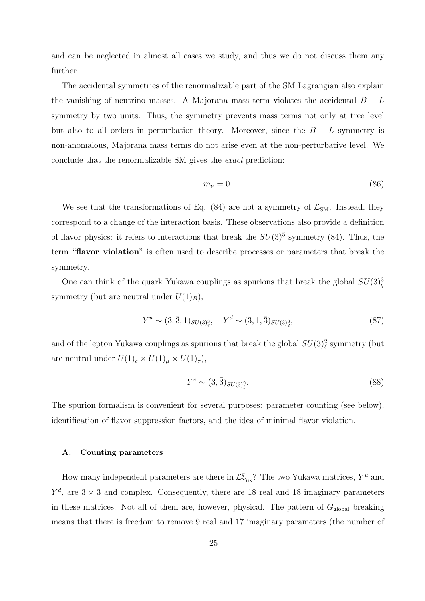and can be neglected in almost all cases we study, and thus we do not discuss them any further.

The accidental symmetries of the renormalizable part of the SM Lagrangian also explain the vanishing of neutrino masses. A Majorana mass term violates the accidental  $B - L$ symmetry by two units. Thus, the symmetry prevents mass terms not only at tree level but also to all orders in perturbation theory. Moreover, since the  $B - L$  symmetry is non-anomalous, Majorana mass terms do not arise even at the non-perturbative level. We conclude that the renormalizable SM gives the exact prediction:

$$
m_{\nu} = 0. \tag{86}
$$

We see that the transformations of Eq.  $(84)$  are not a symmetry of  $\mathcal{L}_{SM}$ . Instead, they correspond to a change of the interaction basis. These observations also provide a definition of flavor physics: it refers to interactions that break the  $SU(3)^5$  symmetry (84). Thus, the term "flavor violation" is often used to describe processes or parameters that break the symmetry.

One can think of the quark Yukawa couplings as spurions that break the global  $SU(3)_{q}^{3}$ symmetry (but are neutral under  $U(1)_B$ ),

$$
Y^u \sim (3,\bar{3},1)_{SU(3)^3_q}, \quad Y^d \sim (3,1,\bar{3})_{SU(3)^3_q},\tag{87}
$$

and of the lepton Yukawa couplings as spurions that break the global  $SU(3)_{\ell}^2$  symmetry (but are neutral under  $U(1)_e \times U(1)_\mu \times U(1)_\tau$ ,

$$
Y^e \sim (3,\bar{3})_{SU(3)_\ell^2}.\tag{88}
$$

The spurion formalism is convenient for several purposes: parameter counting (see below), identification of flavor suppression factors, and the idea of minimal flavor violation.

#### A. Counting parameters

How many independent parameters are there in  $\mathcal{L}_{\text{Yuk}}^q$ ? The two Yukawa matrices,  $Y^u$  and  $Y^d$ , are  $3 \times 3$  and complex. Consequently, there are 18 real and 18 imaginary parameters in these matrices. Not all of them are, however, physical. The pattern of  $G_{\text{global}}$  breaking means that there is freedom to remove 9 real and 17 imaginary parameters (the number of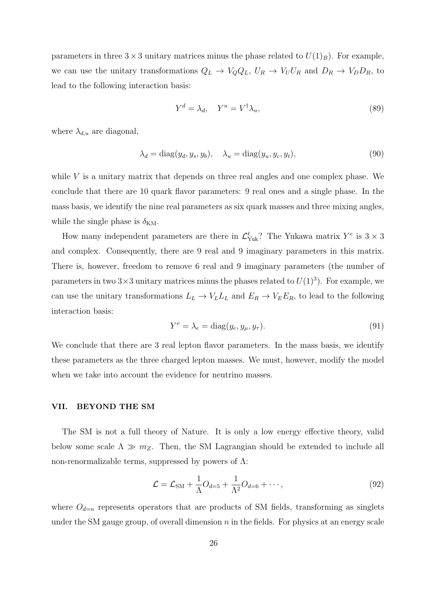parameters in three  $3 \times 3$  unitary matrices minus the phase related to  $U(1)_B$ ). For example, we can use the unitary transformations  $Q_L \to V_Q Q_L$ ,  $U_R \to V_U U_R$  and  $D_R \to V_D D_R$ , to lead to the following interaction basis:

$$
Y^d = \lambda_d, \quad Y^u = V^\dagger \lambda_u,\tag{89}
$$

where  $\lambda_{d,u}$  are diagonal,

$$
\lambda_d = \text{diag}(y_d, y_s, y_b), \quad \lambda_u = \text{diag}(y_u, y_c, y_t), \tag{90}
$$

while  $V$  is a unitary matrix that depends on three real angles and one complex phase. We conclude that there are 10 quark flavor parameters: 9 real ones and a single phase. In the mass basis, we identify the nine real parameters as six quark masses and three mixing angles, while the single phase is  $\delta_{KM}$ .

How many independent parameters are there in  $\mathcal{L}^{\ell}_{\text{Yuk}}$ ? The Yukawa matrix  $Y^e$  is  $3 \times 3$ and complex. Consequently, there are 9 real and 9 imaginary parameters in this matrix. There is, however, freedom to remove 6 real and 9 imaginary parameters (the number of parameters in two  $3 \times 3$  unitary matrices minus the phases related to  $U(1)^3$ ). For example, we can use the unitary transformations  $L_L \to V_L L_L$  and  $E_R \to V_E E_R$ , to lead to the following interaction basis:

$$
Y^e = \lambda_e = \text{diag}(y_e, y_\mu, y_\tau). \tag{91}
$$

We conclude that there are 3 real lepton flavor parameters. In the mass basis, we identify these parameters as the three charged lepton masses. We must, however, modify the model when we take into account the evidence for neutrino masses.

#### VII. BEYOND THE SM

The SM is not a full theory of Nature. It is only a low energy effective theory, valid below some scale  $\Lambda \gg m_Z$ . Then, the SM Lagrangian should be extended to include all non-renormalizable terms, suppressed by powers of Λ:

$$
\mathcal{L} = \mathcal{L}_{\text{SM}} + \frac{1}{\Lambda}O_{d=5} + \frac{1}{\Lambda^2}O_{d=6} + \cdots,
$$
\n(92)

where  $O_{d=n}$  represents operators that are products of SM fields, transforming as singlets under the SM gauge group, of overall dimension  $n$  in the fields. For physics at an energy scale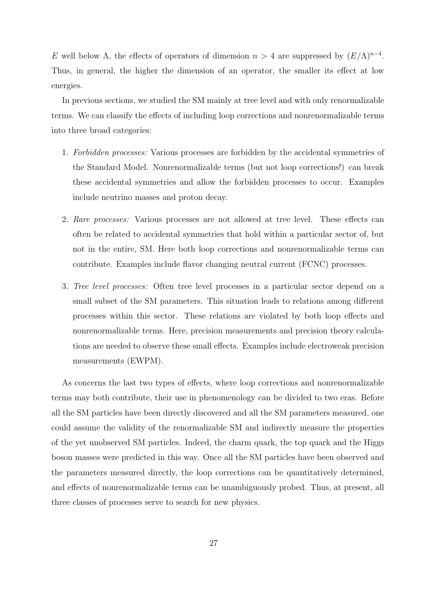E well below  $\Lambda$ , the effects of operators of dimension  $n > 4$  are suppressed by  $(E/\Lambda)^{n-4}$ . Thus, in general, the higher the dimension of an operator, the smaller its effect at low energies.

In previous sections, we studied the SM mainly at tree level and with only renormalizable terms. We can classify the effects of including loop corrections and nonrenormalizable terms into three broad categories:

- 1. Forbidden processes: Various processes are forbidden by the accidental symmetries of the Standard Model. Nonrenormalizable terms (but not loop corrections!) can break these accidental symmetries and allow the forbidden processes to occur. Examples include neutrino masses and proton decay.
- 2. Rare processes: Various processes are not allowed at tree level. These effects can often be related to accidental symmetries that hold within a particular sector of, but not in the entire, SM. Here both loop corrections and nonrenormalizable terms can contribute. Examples include flavor changing neutral current (FCNC) processes.
- 3. Tree level processes: Often tree level processes in a particular sector depend on a small subset of the SM parameters. This situation leads to relations among different processes within this sector. These relations are violated by both loop effects and nonrenormalizable terms. Here, precision measurements and precision theory calculations are needed to observe these small effects. Examples include electroweak precision measurements (EWPM).

As concerns the last two types of effects, where loop corrections and nonrenormalizable terms may both contribute, their use in phenomenology can be divided to two eras. Before all the SM particles have been directly discovered and all the SM parameters measured, one could assume the validity of the renormalizable SM and indirectly measure the properties of the yet unobserved SM particles. Indeed, the charm quark, the top quark and the Higgs boson masses were predicted in this way. Once all the SM particles have been observed and the parameters measured directly, the loop corrections can be quantitatively determined, and effects of nonrenormalizable terms can be unambiguously probed. Thus, at present, all three classes of processes serve to search for new physics.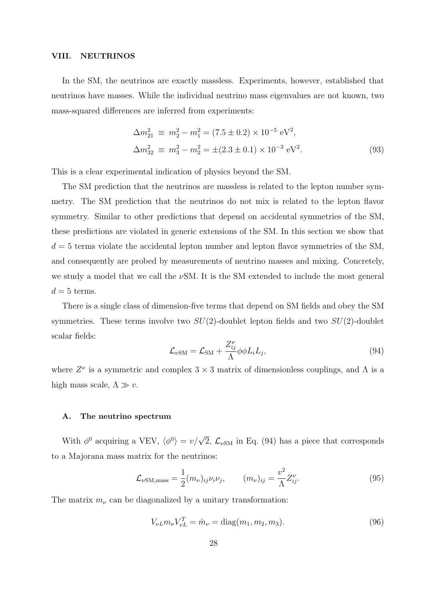#### VIII. NEUTRINOS

In the SM, the neutrinos are exactly massless. Experiments, however, established that neutrinos have masses. While the individual neutrino mass eigenvalues are not known, two mass-squared differences are inferred from experiments:

$$
\Delta m_{21}^2 \equiv m_2^2 - m_1^2 = (7.5 \pm 0.2) \times 10^{-5} \text{ eV}^2,
$$
  
\n
$$
\Delta m_{32}^2 \equiv m_3^2 - m_2^2 = \pm (2.3 \pm 0.1) \times 10^{-3} \text{ eV}^2.
$$
\n(93)

This is a clear experimental indication of physics beyond the SM.

The SM prediction that the neutrinos are massless is related to the lepton number symmetry. The SM prediction that the neutrinos do not mix is related to the lepton flavor symmetry. Similar to other predictions that depend on accidental symmetries of the SM, these predictions are violated in generic extensions of the SM. In this section we show that  $d = 5$  terms violate the accidental lepton number and lepton flavor symmetries of the SM, and consequently are probed by measurements of neutrino masses and mixing. Concretely, we study a model that we call the  $\nu$ SM. It is the SM extended to include the most general  $d = 5$  terms.

There is a single class of dimension-five terms that depend on SM fields and obey the SM symmetries. These terms involve two  $SU(2)$ -doublet lepton fields and two  $SU(2)$ -doublet scalar fields:

$$
\mathcal{L}_{\nu \text{SM}} = \mathcal{L}_{\text{SM}} + \frac{Z_{ij}^{\nu}}{\Lambda} \phi \phi L_i L_j, \qquad (94)
$$

where  $Z^{\nu}$  is a symmetric and complex  $3 \times 3$  matrix of dimensionless couplings, and  $\Lambda$  is a high mass scale,  $\Lambda \gg v$ .

## A. The neutrino spectrum

With  $\phi^0$  acquiring a VEV,  $\langle \phi^0 \rangle = v/\sqrt{2}$ ,  $\mathcal{L}_{\nu \text{SM}}$  in Eq. (94) has a piece that corresponds to a Majorana mass matrix for the neutrinos:

$$
\mathcal{L}_{\nu \text{SM,mass}} = \frac{1}{2} (m_{\nu})_{ij} \nu_i \nu_j, \qquad (m_{\nu})_{ij} = \frac{v^2}{\Lambda} Z_{ij}^{\nu}.
$$
\n(95)

The matrix  $m_{\nu}$  can be diagonalized by a unitary transformation:

$$
V_{\nu L} m_{\nu} V_{\nu L}^T = \hat{m}_{\nu} = \text{diag}(m_1, m_2, m_3). \tag{96}
$$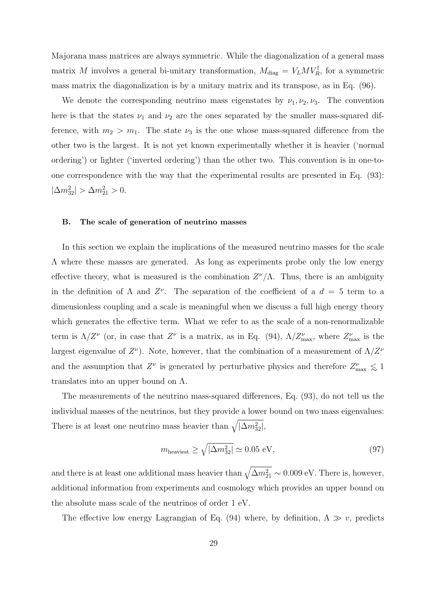Majorana mass matrices are always symmetric. While the diagonalization of a general mass matrix M involves a general bi-unitary transformation,  $M_{\text{diag}} = V_L M V_R^{\dagger}$ , for a symmetric mass matrix the diagonalization is by a unitary matrix and its transpose, as in Eq. (96).

We denote the corresponding neutrino mass eigenstates by  $\nu_1, \nu_2, \nu_3$ . The convention here is that the states  $\nu_1$  and  $\nu_2$  are the ones separated by the smaller mass-squared difference, with  $m_2 > m_1$ . The state  $\nu_3$  is the one whose mass-squared difference from the other two is the largest. It is not yet known experimentally whether it is heavier ('normal ordering') or lighter ('inverted ordering') than the other two. This convention is in one-toone correspondence with the way that the experimental results are presented in Eq. (93):  $|\Delta m_{32}^2| > \Delta m_{21}^2 > 0.$ 

### B. The scale of generation of neutrino masses

In this section we explain the implications of the measured neutrino masses for the scale  $\Lambda$  where these masses are generated. As long as experiments probe only the low energy effective theory, what is measured is the combination  $Z^{\nu}/\Lambda$ . Thus, there is an ambiguity in the definition of  $\Lambda$  and  $Z^{\nu}$ . The separation of the coefficient of a  $d = 5$  term to a dimensionless coupling and a scale is meaningful when we discuss a full high energy theory which generates the effective term. What we refer to as the scale of a non-renormalizable term is  $\Lambda/Z^{\nu}$  (or, in case that  $Z^{\nu}$  is a matrix, as in Eq. (94),  $\Lambda/Z_{\text{max}}^{\nu}$ , where  $Z_{\text{max}}^{\nu}$  is the largest eigenvalue of  $Z^{\nu}$ ). Note, however, that the combination of a measurement of  $\Lambda/Z^{\nu}$ and the assumption that  $Z^{\nu}$  is generated by perturbative physics and therefore  $Z^{\nu}_{\text{max}} \leq 1$ translates into an upper bound on  $\Lambda$ .

The measurements of the neutrino mass-squared differences, Eq. (93), do not tell us the individual masses of the neutrinos, but they provide a lower bound on two mass eigenvalues: There is at least one neutrino mass heavier than  $\sqrt{|\Delta m^2_{32}|},$ 

$$
m_{\text{heaviest}} \ge \sqrt{|\Delta m_{32}^2|} \simeq 0.05 \text{ eV},\tag{97}
$$

and there is at least one additional mass heavier than  $\sqrt{\Delta m_{21}^2} \sim 0.009 \text{ eV}$ . There is, however, additional information from experiments and cosmology which provides an upper bound on the absolute mass scale of the neutrinos of order 1 eV.

The effective low energy Lagrangian of Eq. (94) where, by definition,  $\Lambda \gg v$ , predicts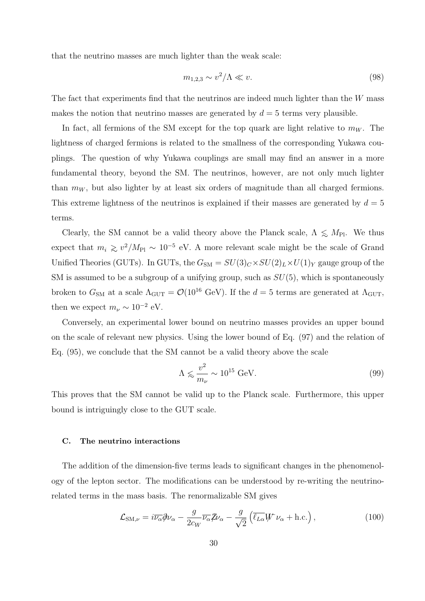that the neutrino masses are much lighter than the weak scale:

$$
m_{1,2,3} \sim v^2/\Lambda \ll v. \tag{98}
$$

The fact that experiments find that the neutrinos are indeed much lighter than the  $W$  mass makes the notion that neutrino masses are generated by  $d = 5$  terms very plausible.

In fact, all fermions of the SM except for the top quark are light relative to  $m_W$ . The lightness of charged fermions is related to the smallness of the corresponding Yukawa couplings. The question of why Yukawa couplings are small may find an answer in a more fundamental theory, beyond the SM. The neutrinos, however, are not only much lighter than  $m_W$ , but also lighter by at least six orders of magnitude than all charged fermions. This extreme lightness of the neutrinos is explained if their masses are generated by  $d = 5$ terms.

Clearly, the SM cannot be a valid theory above the Planck scale,  $\Lambda \leq M_{\text{Pl}}$ . We thus expect that  $m_i \gtrsim v^2/M_{\rm Pl} \sim 10^{-5}$  eV. A more relevant scale might be the scale of Grand Unified Theories (GUTs). In GUTs, the  $G_{\text{SM}} = SU(3)_C \times SU(2)_L \times U(1)_Y$  gauge group of the SM is assumed to be a subgroup of a unifying group, such as  $SU(5)$ , which is spontaneously broken to  $G_{\text{SM}}$  at a scale  $\Lambda_{\text{GUT}} = \mathcal{O}(10^{16} \text{ GeV})$ . If the  $d = 5$  terms are generated at  $\Lambda_{\text{GUT}}$ , then we expect  $m_{\nu} \sim 10^{-2}$  eV.

Conversely, an experimental lower bound on neutrino masses provides an upper bound on the scale of relevant new physics. Using the lower bound of Eq. (97) and the relation of Eq. (95), we conclude that the SM cannot be a valid theory above the scale

$$
\Lambda \lesssim \frac{v^2}{m_{\nu}} \sim 10^{15} \text{ GeV}.\tag{99}
$$

This proves that the SM cannot be valid up to the Planck scale. Furthermore, this upper bound is intriguingly close to the GUT scale.

### C. The neutrino interactions

The addition of the dimension-five terms leads to significant changes in the phenomenology of the lepton sector. The modifications can be understood by re-writing the neutrinorelated terms in the mass basis. The renormalizable SM gives

$$
\mathcal{L}_{\text{SM},\nu} = i\overline{\nu_{\alpha}} \partial \nu_{\alpha} - \frac{g}{2c_W} \overline{\nu_{\alpha}} \partial \nu_{\alpha} - \frac{g}{\sqrt{2}} \left( \overline{\ell_{L\alpha}} W \nu_{\alpha} + \text{h.c.} \right), \qquad (100)
$$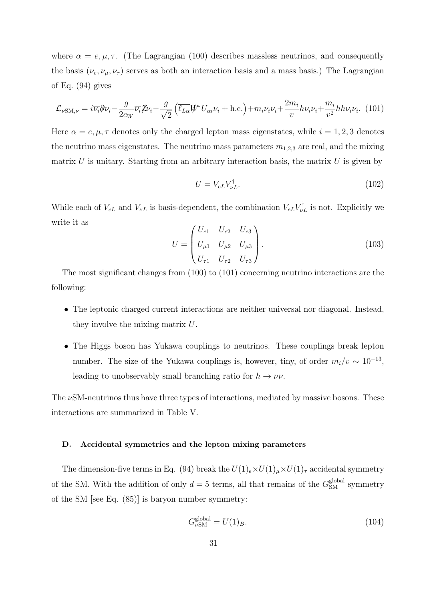where  $\alpha = e, \mu, \tau$ . (The Lagrangian (100) describes massless neutrinos, and consequently the basis  $(\nu_e, \nu_\mu, \nu_\tau)$  serves as both an interaction basis and a mass basis.) The Lagrangian of Eq. (94) gives

$$
\mathcal{L}_{\nu SM,\nu} = i\overline{\nu_i}\partial_{\nu_i} - \frac{g}{2c_W}\overline{\nu_i}\mathcal{Z}\nu_i - \frac{g}{\sqrt{2}}\left(\overline{\ell_{L\alpha}}W^{\dagger}U_{\alpha i}\nu_i + \text{h.c.}\right) + m_i\nu_i\nu_i + \frac{2m_i}{v}h\nu_i\nu_i + \frac{m_i}{v^2}h h\nu_i\nu_i. \tag{101}
$$

Here  $\alpha = e, \mu, \tau$  denotes only the charged lepton mass eigenstates, while  $i = 1, 2, 3$  denotes the neutrino mass eigenstates. The neutrino mass parameters  $m_{1,2,3}$  are real, and the mixing matrix  $U$  is unitary. Starting from an arbitrary interaction basis, the matrix  $U$  is given by

$$
U = V_{eL} V_{\nu L}^{\dagger}.
$$
\n(102)

While each of  $V_{eL}$  and  $V_{\nu L}$  is basis-dependent, the combination  $V_{eL}V_{\nu L}^{\dagger}$  is not. Explicitly we write it as

$$
U = \begin{pmatrix} U_{e1} & U_{e2} & U_{e3} \\ U_{\mu 1} & U_{\mu 2} & U_{\mu 3} \\ U_{\tau 1} & U_{\tau 2} & U_{\tau 3} \end{pmatrix}.
$$
 (103)

The most significant changes from (100) to (101) concerning neutrino interactions are the following:

- The leptonic charged current interactions are neither universal nor diagonal. Instead, they involve the mixing matrix U.
- The Higgs boson has Yukawa couplings to neutrinos. These couplings break lepton number. The size of the Yukawa couplings is, however, tiny, of order  $m_i/v \sim 10^{-13}$ , leading to unobservably small branching ratio for  $h \to \nu \nu$ .

The  $\nu$ SM-neutrinos thus have three types of interactions, mediated by massive bosons. These interactions are summarized in Table V.

#### D. Accidental symmetries and the lepton mixing parameters

The dimension-five terms in Eq. (94) break the  $U(1)_{e} \times U(1)_{\mu} \times U(1)_{\tau}$  accidental symmetry of the SM. With the addition of only  $d = 5$  terms, all that remains of the  $G_{\text{SM}}^{\text{global}}$  symmetry of the SM [see Eq. (85)] is baryon number symmetry:

$$
G_{\nu \text{SM}}^{\text{global}} = U(1)_B. \tag{104}
$$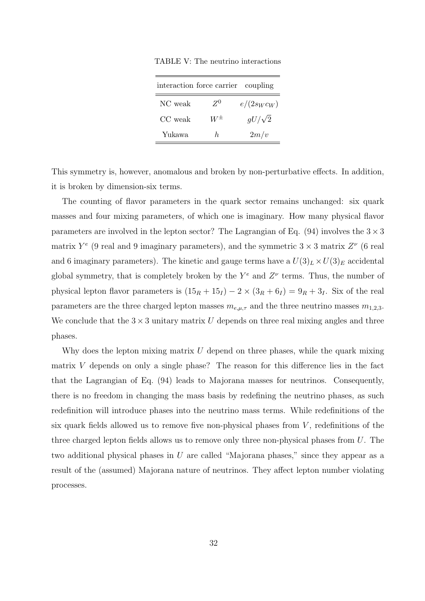TABLE V: The neutrino interactions

| interaction force carrier coupling |           |               |  |  |
|------------------------------------|-----------|---------------|--|--|
| NC weak                            | $Z^0$     | $e/(2s_Wc_W)$ |  |  |
| CC weak                            | $W^{\pm}$ | $gU/\sqrt{2}$ |  |  |
| Yukawa                             | h.        | 2m/v          |  |  |

This symmetry is, however, anomalous and broken by non-perturbative effects. In addition, it is broken by dimension-six terms.

The counting of flavor parameters in the quark sector remains unchanged: six quark masses and four mixing parameters, of which one is imaginary. How many physical flavor parameters are involved in the lepton sector? The Lagrangian of Eq. (94) involves the  $3 \times 3$ matrix  $Y^e$  (9 real and 9 imaginary parameters), and the symmetric  $3 \times 3$  matrix  $Z^{\nu}$  (6 real and 6 imaginary parameters). The kinetic and gauge terms have a  $U(3)<sub>L</sub> \times U(3)<sub>E</sub>$  accidental global symmetry, that is completely broken by the  $Y^e$  and  $Z^{\nu}$  terms. Thus, the number of physical lepton flavor parameters is  $(15_R + 15_I) - 2 \times (3_R + 6_I) = 9_R + 3_I$ . Six of the real parameters are the three charged lepton masses  $m_{e,\mu,\tau}$  and the three neutrino masses  $m_{1,2,3}$ . We conclude that the  $3 \times 3$  unitary matrix U depends on three real mixing angles and three phases.

Why does the lepton mixing matrix  $U$  depend on three phases, while the quark mixing matrix  $V$  depends on only a single phase? The reason for this difference lies in the fact that the Lagrangian of Eq. (94) leads to Majorana masses for neutrinos. Consequently, there is no freedom in changing the mass basis by redefining the neutrino phases, as such redefinition will introduce phases into the neutrino mass terms. While redefinitions of the six quark fields allowed us to remove five non-physical phases from  $V$ , redefinitions of the three charged lepton fields allows us to remove only three non-physical phases from U. The two additional physical phases in U are called "Majorana phases," since they appear as a result of the (assumed) Majorana nature of neutrinos. They affect lepton number violating processes.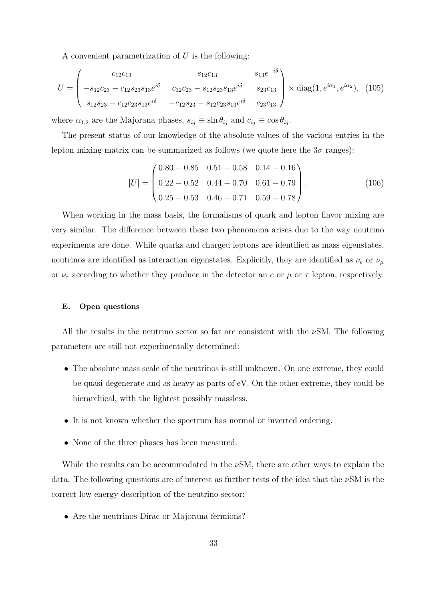A convenient parametrization of  $U$  is the following:

$$
U = \begin{pmatrix} c_{12}c_{13} & s_{12}c_{13} & s_{13}e^{-i\delta} \\ -s_{12}c_{23} - c_{12}s_{23}s_{13}e^{i\delta} & c_{12}c_{23} - s_{12}s_{23}s_{13}e^{i\delta} & s_{23}c_{13} \\ s_{12}s_{23} - c_{12}c_{23}s_{13}e^{i\delta} & -c_{12}s_{23} - s_{12}c_{23}s_{13}e^{i\delta} & c_{23}c_{13} \end{pmatrix} \times \text{diag}(1, e^{i\alpha_1}, e^{i\alpha_2}), \tag{105}
$$

where  $\alpha_{1,2}$  are the Majorana phases,  $s_{ij} \equiv \sin \theta_{ij}$  and  $c_{ij} \equiv \cos \theta_{ij}$ .

The present status of our knowledge of the absolute values of the various entries in the lepton mixing matrix can be summarized as follows (we quote here the  $3\sigma$  ranges):

$$
|U| = \begin{pmatrix} 0.80 - 0.85 & 0.51 - 0.58 & 0.14 - 0.16 \\ 0.22 - 0.52 & 0.44 - 0.70 & 0.61 - 0.79 \\ 0.25 - 0.53 & 0.46 - 0.71 & 0.59 - 0.78 \end{pmatrix}.
$$
 (106)

When working in the mass basis, the formalisms of quark and lepton flavor mixing are very similar. The difference between these two phenomena arises due to the way neutrino experiments are done. While quarks and charged leptons are identified as mass eigenstates, neutrinos are identified as interaction eigenstates. Explicitly, they are identified as  $\nu_e$  or  $\nu_\mu$ or  $\nu_{\tau}$  according to whether they produce in the detector an e or  $\mu$  or  $\tau$  lepton, respectively.

#### E. Open questions

All the results in the neutrino sector so far are consistent with the  $\nu$ SM. The following parameters are still not experimentally determined:

- The absolute mass scale of the neutrinos is still unknown. On one extreme, they could be quasi-degenerate and as heavy as parts of eV. On the other extreme, they could be hierarchical, with the lightest possibly massless.
- It is not known whether the spectrum has normal or inverted ordering.
- None of the three phases has been measured.

While the results can be accommodated in the  $\nu$ SM, there are other ways to explain the data. The following questions are of interest as further tests of the idea that the  $\nu$ SM is the correct low energy description of the neutrino sector:

• Are the neutrinos Dirac or Majorana fermions?